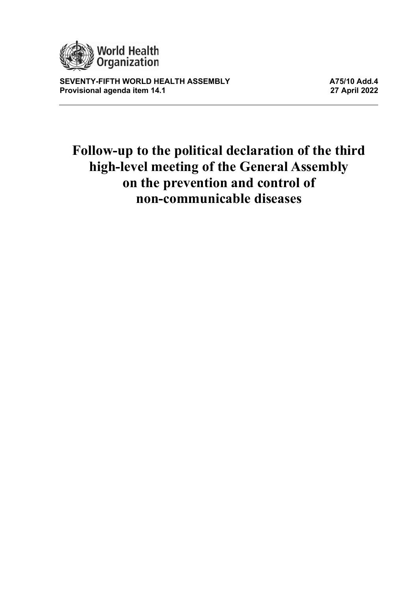

**SEVENTY-FIFTH WORLD HEALTH ASSEMBLY AND SEVENTY-FIFTH WORLD HEALTH ASSEMBLY AND ALL ASSEMBLY And All All 2022 Provisional agenda item 14.1** 

# **Follow-up to the political declaration of the third high-level meeting of the General Assembly on the prevention and control of non-communicable diseases**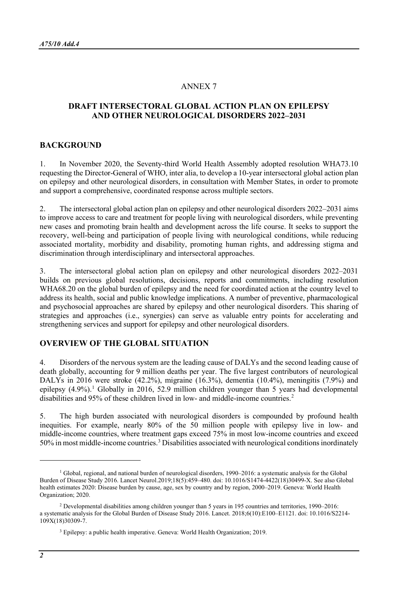## ANNEX 7

# **DRAFT INTERSECTORAL GLOBAL ACTION PLAN ON EPILEPSY AND OTHER NEUROLOGICAL DISORDERS 2022–2031**

#### **BACKGROUND**

1. In November 2020, the Seventy-third World Health Assembly adopted resolution WHA73.10 requesting the Director-General of WHO, inter alia, to develop a 10-year intersectoral global action plan on epilepsy and other neurological disorders, in consultation with Member States, in order to promote and support a comprehensive, coordinated response across multiple sectors.

2. The intersectoral global action plan on epilepsy and other neurological disorders 2022–2031 aims to improve access to care and treatment for people living with neurological disorders, while preventing new cases and promoting brain health and development across the life course. It seeks to support the recovery, well-being and participation of people living with neurological conditions, while reducing associated mortality, morbidity and disability, promoting human rights, and addressing stigma and discrimination through interdisciplinary and intersectoral approaches.

3. The intersectoral global action plan on epilepsy and other neurological disorders 2022–2031 builds on previous global resolutions, decisions, reports and commitments, including resolution WHA68.20 on the global burden of epilepsy and the need for coordinated action at the country level to address its health, social and public knowledge implications. A number of preventive, pharmacological and psychosocial approaches are shared by epilepsy and other neurological disorders. This sharing of strategies and approaches (i.e., synergies) can serve as valuable entry points for accelerating and strengthening services and support for epilepsy and other neurological disorders.

## **OVERVIEW OF THE GLOBAL SITUATION**

4. Disorders of the nervous system are the leading cause of DALYs and the second leading cause of death globally, accounting for 9 million deaths per year. The five largest contributors of neurological DALYs in 2016 were stroke (42.2%), migraine (16.3%), dementia (10.4%), meningitis (7.9%) and epilepsy  $(4.9\%)$ .<sup>[1](#page-1-0)</sup> Globally in 2016, 52.9 million children younger than 5 years had developmental disabilities and 95% of these children lived in low- and middle-income countries.<sup>[2](#page-1-1)</sup>

5. The high burden associated with neurological disorders is compounded by profound health inequities. For example, nearly 80% of the 50 million people with epilepsy live in low- and middle-income countries, where treatment gaps exceed 75% in most low-income countries and exceed 50% in most middle-income countries.[3](#page-1-2) Disabilities associated with neurological conditionsinordinately

<span id="page-1-0"></span><sup>&</sup>lt;sup>1</sup> Global, regional, and national burden of neurological disorders, 1990–2016: a systematic analysis for the Global Burden of Disease Study 2016. Lancet Neurol.2019;18(5):459–480. doi: 10.1016/S1474-4422(18)30499-X. See also Global health estimates 2020: Disease burden by cause, age, sex by country and by region, 2000–2019. Geneva: World Health Organization; 2020.

<span id="page-1-2"></span><span id="page-1-1"></span><sup>2</sup> Developmental disabilities among children younger than 5 years in 195 countries and territories, 1990–2016: a systematic analysis for the Global Burden of Disease Study 2016. Lancet. 2018;6(10):E100–E1121. doi: 10.1016/S2214-  $109X(18)30309-7.$ 

<sup>3</sup> Epilepsy: a public health imperative. Geneva: World Health Organization; 2019.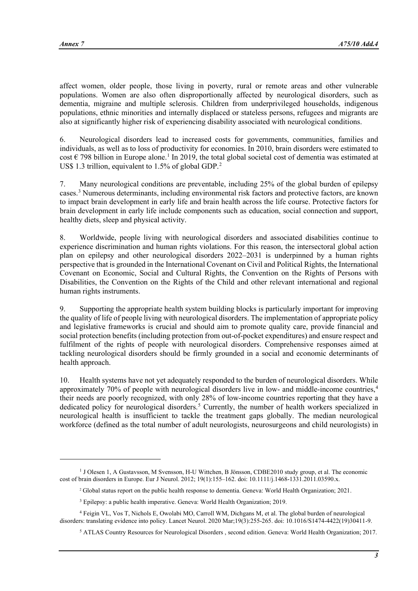affect women, older people, those living in poverty, rural or remote areas and other vulnerable populations. Women are also often disproportionally affected by neurological disorders, such as dementia, migraine and multiple sclerosis. Children from underprivileged households, indigenous populations, ethnic minorities and internally displaced or stateless persons, refugees and migrants are also at significantly higher risk of experiencing disability associated with neurological conditions.

6. Neurological disorders lead to increased costs for governments, communities, families and individuals, as well as to loss of productivity for economies. In 2010, brain disorders were estimated to cost  $\epsilon$  798 billion in Europe alone.<sup>[1](#page-2-0)</sup> In 2019, the total global societal cost of dementia was estimated at US\$ 1.3 trillion, equivalent to 1.5% of global GDP.<sup>[2](#page-2-1)</sup>

7. Many neurological conditions are preventable, including 25% of the global burden of epilepsy cases.[3](#page-2-2) Numerous determinants, including environmental risk factors and protective factors, are known to impact brain development in early life and brain health across the life course. Protective factors for brain development in early life include components such as education, social connection and support, healthy diets, sleep and physical activity.

8. Worldwide, people living with neurological disorders and associated disabilities continue to experience discrimination and human rights violations. For this reason, the intersectoral global action plan on epilepsy and other neurological disorders 2022–2031 is underpinned by a human rights perspective that is grounded in the International Covenant on Civil and Political Rights, the International Covenant on Economic, Social and Cultural Rights, the Convention on the Rights of Persons with Disabilities, the Convention on the Rights of the Child and other relevant international and regional human rights instruments.

9. Supporting the appropriate health system building blocks is particularly important for improving the quality of life of people living with neurological disorders. The implementation of appropriate policy and legislative frameworks is crucial and should aim to promote quality care, provide financial and social protection benefits (including protection from out-of-pocket expenditures) and ensure respect and fulfilment of the rights of people with neurological disorders. Comprehensive responses aimed at tackling neurological disorders should be firmly grounded in a social and economic determinants of health approach.

10. Health systems have not yet adequately responded to the burden of neurological disorders. While approximately 70% of people with neurological disorders live in low- and middle-income countries,[4](#page-2-3) their needs are poorly recognized, with only 28% of low-income countries reporting that they have a dedicated policy for neurological disorders.<sup>[5](#page-2-4)</sup> Currently, the number of health workers specialized in neurological health is insufficient to tackle the treatment gaps globally. The median neurological workforce (defined as the total number of adult neurologists, neurosurgeons and child neurologists) in

<span id="page-2-1"></span><span id="page-2-0"></span><sup>&</sup>lt;sup>1</sup> J Olesen 1, A Gustavsson, M Svensson, H-U Wittchen, B Jönsson, CDBE2010 study group, et al. The economic cost of brain disorders in Europe. Eur J Neurol. 2012; 19(1):155–162. doi: 10.1111/j.1468-1331.2011.03590.x.

<sup>2</sup> Global status report on the public health response to dementia. Geneva: World Health Organization; 2021.

<sup>3</sup> Epilepsy: a public health imperative. Geneva: World Health Organization; 2019.

<span id="page-2-4"></span><span id="page-2-3"></span><span id="page-2-2"></span><sup>4</sup> Feigin VL, Vos T, Nichols E, Owolabi MO, Carroll WM, Dichgans M, et al. The global burden of neurological disorders: translating evidence into policy. Lancet Neurol. 2020 Mar;19(3):255-265. doi: 10.1016/S1474-4422(19)30411-9.

<sup>5</sup> ATLAS Country Resources for Neurological Disorders , second edition. Geneva: World Health Organization; 2017.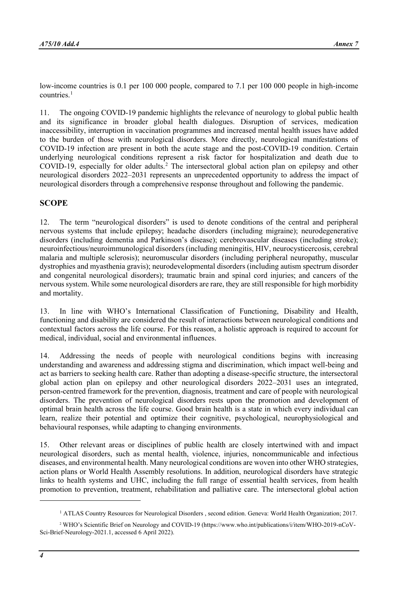low-income countries is 0.1 per 100 000 people, compared to 7.1 per 100 000 people in high-income countries.<sup>[1](#page-3-0)</sup>

11. The ongoing COVID-19 pandemic highlights the relevance of neurology to global public health and its significance in broader global health dialogues. Disruption of services, medication inaccessibility, interruption in vaccination programmes and increased mental health issues have added to the burden of those with neurological disorders. More directly, neurological manifestations of COVID-19 infection are present in both the acute stage and the post-COVID-19 condition. Certain underlying neurological conditions represent a risk factor for hospitalization and death due to COVID-19, especially for older adults.<sup>[2](#page-3-1)</sup> The intersectoral global action plan on epilepsy and other neurological disorders 2022–2031 represents an unprecedented opportunity to address the impact of neurological disorders through a comprehensive response throughout and following the pandemic.

## **SCOPE**

12. The term "neurological disorders" is used to denote conditions of the central and peripheral nervous systems that include epilepsy; headache disorders (including migraine); neurodegenerative disorders (including dementia and Parkinson's disease); cerebrovascular diseases (including stroke); neuroinfectious/neuroimmunological disorders (including meningitis, HIV, neurocysticercosis, cerebral malaria and multiple sclerosis); neuromuscular disorders (including peripheral neuropathy, muscular dystrophies and myasthenia gravis); neurodevelopmental disorders (including autism spectrum disorder and congenital neurological disorders); traumatic brain and spinal cord injuries; and cancers of the nervous system. While some neurological disorders are rare, they are still responsible for high morbidity and mortality.

13. In line with WHO's International Classification of Functioning, Disability and Health, functioning and disability are considered the result of interactions between neurological conditions and contextual factors across the life course. For this reason, a holistic approach is required to account for medical, individual, social and environmental influences.

14. Addressing the needs of people with neurological conditions begins with increasing understanding and awareness and addressing stigma and discrimination, which impact well-being and act as barriers to seeking health care. Rather than adopting a disease-specific structure, the intersectoral global action plan on epilepsy and other neurological disorders 2022–2031 uses an integrated, person-centred framework for the prevention, diagnosis, treatment and care of people with neurological disorders. The prevention of neurological disorders rests upon the promotion and development of optimal brain health across the life course. Good brain health is a state in which every individual can learn, realize their potential and optimize their cognitive, psychological, neurophysiological and behavioural responses, while adapting to changing environments.

15. Other relevant areas or disciplines of public health are closely intertwined with and impact neurological disorders, such as mental health, violence, injuries, noncommunicable and infectious diseases, and environmental health. Many neurological conditions are woven into other WHO strategies, action plans or World Health Assembly resolutions. In addition, neurological disorders have strategic links to health systems and UHC, including the full range of essential health services, from health promotion to prevention, treatment, rehabilitation and palliative care. The intersectoral global action

<sup>&</sup>lt;sup>1</sup> ATLAS Country Resources for Neurological Disorders, second edition. Geneva: World Health Organization; 2017.

<span id="page-3-1"></span><span id="page-3-0"></span><sup>2</sup> WHO's Scientific Brief on Neurology and COVID-19 [\(https://www.who.int/publications/i/item/WHO-2019-nCoV-](https://www.who.int/publications/i/item/WHO-2019-nCoV-Sci-Brief-Neurology-2021.1)[Sci-Brief-Neurology-2021.1,](https://www.who.int/publications/i/item/WHO-2019-nCoV-Sci-Brief-Neurology-2021.1) accessed 6 April 2022).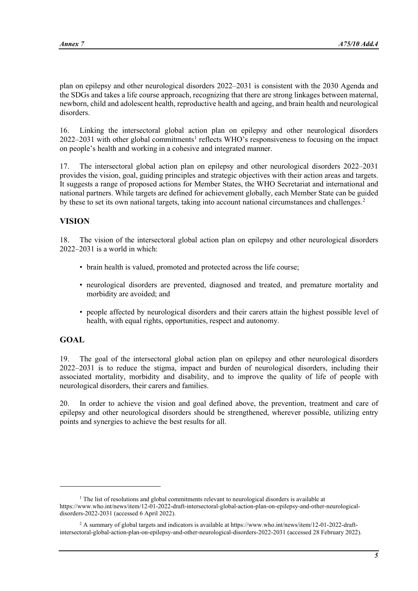plan on epilepsy and other neurological disorders 2022–2031 is consistent with the 2030 Agenda and the SDGs and takes a life course approach, recognizing that there are strong linkages between maternal, newborn, child and adolescent health, reproductive health and ageing, and brain health and neurological disorders.

16. Linking the intersectoral global action plan on epilepsy and other neurological disorders  $2022-2031$  $2022-2031$  with other global commitments<sup>1</sup> reflects WHO's responsiveness to focusing on the impact on people's health and working in a cohesive and integrated manner.

17. The intersectoral global action plan on epilepsy and other neurological disorders 2022–2031 provides the vision, goal, guiding principles and strategic objectives with their action areas and targets. It suggests a range of proposed actions for Member States, the WHO Secretariat and international and national partners. While targets are defined for achievement globally, each Member State can be guided by these to set its own national targets, taking into account national circumstances and challenges.<sup>[2](#page-4-1)</sup>

# **VISION**

18. The vision of the intersectoral global action plan on epilepsy and other neurological disorders 2022–2031 is a world in which:

- brain health is valued, promoted and protected across the life course;
- neurological disorders are prevented, diagnosed and treated, and premature mortality and morbidity are avoided; and
- people affected by neurological disorders and their carers attain the highest possible level of health, with equal rights, opportunities, respect and autonomy.

#### **GOAL**

19. The goal of the intersectoral global action plan on epilepsy and other neurological disorders 2022–2031 is to reduce the stigma, impact and burden of neurological disorders, including their associated mortality, morbidity and disability, and to improve the quality of life of people with neurological disorders, their carers and families.

20. In order to achieve the vision and goal defined above, the prevention, treatment and care of epilepsy and other neurological disorders should be strengthened, wherever possible, utilizing entry points and synergies to achieve the best results for all.

<span id="page-4-0"></span> $<sup>1</sup>$  The list of resolutions and global commitments relevant to neurological disorders is available at</sup> [https://www.who.int/news/item/12-01-2022-draft-intersectoral-global-action-plan-on-epilepsy-and-other-neurological](https://www.who.int/news/item/12-01-2022-draft-intersectoral-global-action-plan-on-epilepsy-and-other-neurological-disorders-2022-2031)[disorders-2022-2031](https://www.who.int/news/item/12-01-2022-draft-intersectoral-global-action-plan-on-epilepsy-and-other-neurological-disorders-2022-2031) (accessed 6 April 2022).

<span id="page-4-1"></span><sup>2</sup> A summary of global targets and indicators is available a[t https://www.who.int/news/item/12-01-2022-draft](https://www.who.int/news/item/12-01-2022-draft-intersectoral-global-action-plan-on-epilepsy-and-other-neurological-disorders-2022-2031)[intersectoral-global-action-plan-on-epilepsy-and-other-neurological-disorders-2022-2031](https://www.who.int/news/item/12-01-2022-draft-intersectoral-global-action-plan-on-epilepsy-and-other-neurological-disorders-2022-2031) (accessed 28 February 2022).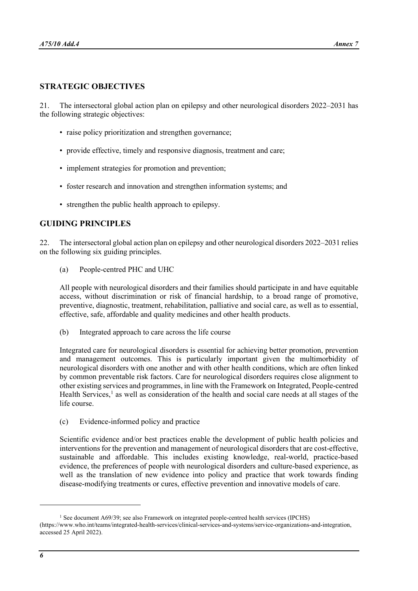## **STRATEGIC OBJECTIVES**

21. The intersectoral global action plan on epilepsy and other neurological disorders 2022–2031 has the following strategic objectives:

- raise policy prioritization and strengthen governance;
- provide effective, timely and responsive diagnosis, treatment and care;
- implement strategies for promotion and prevention;
- foster research and innovation and strengthen information systems; and
- strengthen the public health approach to epilepsy.

## **GUIDING PRINCIPLES**

22. The intersectoral global action plan on epilepsy and other neurological disorders 2022–2031 relies on the following six guiding principles.

(a) People-centred PHC and UHC

All people with neurological disorders and their families should participate in and have equitable access, without discrimination or risk of financial hardship, to a broad range of promotive, preventive, diagnostic, treatment, rehabilitation, palliative and social care, as well as to essential, effective, safe, affordable and quality medicines and other health products.

(b) Integrated approach to care across the life course

Integrated care for neurological disorders is essential for achieving better promotion, prevention and management outcomes. This is particularly important given the multimorbidity of neurological disorders with one another and with other health conditions, which are often linked by common preventable risk factors. Care for neurological disorders requires close alignment to other existing services and programmes, in line with the Framework on Integrated, People-centred Health Services,<sup>[1](#page-5-0)</sup> as well as consideration of the health and social care needs at all stages of the life course.

(c) Evidence-informed policy and practice

Scientific evidence and/or best practices enable the development of public health policies and interventions for the prevention and management of neurological disorders that are cost-effective, sustainable and affordable. This includes existing knowledge, real-world, practice-based evidence, the preferences of people with neurological disorders and culture-based experience, as well as the translation of new evidence into policy and practice that work towards finding disease-modifying treatments or cures, effective prevention and innovative models of care.

<span id="page-5-0"></span><sup>&</sup>lt;sup>1</sup> See document A69/39; see also Framework on integrated people-centred health services (IPCHS) [\(https://www.who.int/teams/integrated-health-services/clinical-services-and-systems/service-organizations-and-integration,](https://www.who.int/teams/integrated-health-services/clinical-services-and-systems/service-organizations-and-integration)  accessed 25 April 2022).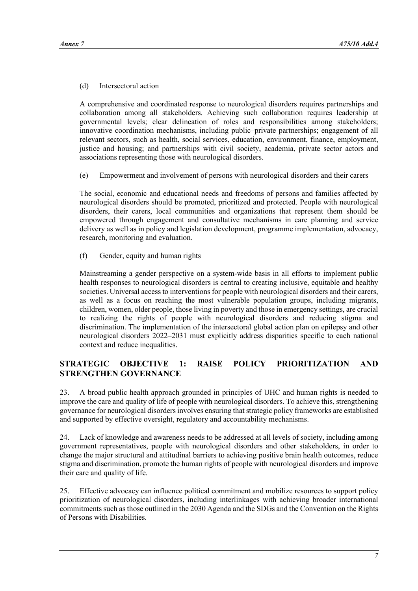## (d) Intersectoral action

A comprehensive and coordinated response to neurological disorders requires partnerships and collaboration among all stakeholders. Achieving such collaboration requires leadership at governmental levels; clear delineation of roles and responsibilities among stakeholders; innovative coordination mechanisms, including public–private partnerships; engagement of all relevant sectors, such as health, social services, education, environment, finance, employment, justice and housing; and partnerships with civil society, academia, private sector actors and associations representing those with neurological disorders.

(e) Empowerment and involvement of persons with neurological disorders and their carers

The social, economic and educational needs and freedoms of persons and families affected by neurological disorders should be promoted, prioritized and protected. People with neurological disorders, their carers, local communities and organizations that represent them should be empowered through engagement and consultative mechanisms in care planning and service delivery as well as in policy and legislation development, programme implementation, advocacy, research, monitoring and evaluation.

(f) Gender, equity and human rights

Mainstreaming a gender perspective on a system-wide basis in all efforts to implement public health responses to neurological disorders is central to creating inclusive, equitable and healthy societies. Universal access to interventions for people with neurological disorders and their carers, as well as a focus on reaching the most vulnerable population groups, including migrants, children, women, older people, those living in poverty and those in emergency settings, are crucial to realizing the rights of people with neurological disorders and reducing stigma and discrimination. The implementation of the intersectoral global action plan on epilepsy and other neurological disorders 2022–2031 must explicitly address disparities specific to each national context and reduce inequalities.

# **STRATEGIC OBJECTIVE 1: RAISE POLICY PRIORITIZATION AND STRENGTHEN GOVERNANCE**

23. A broad public health approach grounded in principles of UHC and human rights is needed to improve the care and quality of life of people with neurological disorders. To achieve this, strengthening governance for neurological disorders involves ensuring that strategic policy frameworks are established and supported by effective oversight, regulatory and accountability mechanisms.

24. Lack of knowledge and awareness needs to be addressed at all levels of society, including among government representatives, people with neurological disorders and other stakeholders, in order to change the major structural and attitudinal barriers to achieving positive brain health outcomes, reduce stigma and discrimination, promote the human rights of people with neurological disorders and improve their care and quality of life.

25. Effective advocacy can influence political commitment and mobilize resources to support policy prioritization of neurological disorders, including interlinkages with achieving broader international commitments such as those outlined in the 2030 Agenda and the SDGs and the Convention on the Rights of Persons with Disabilities.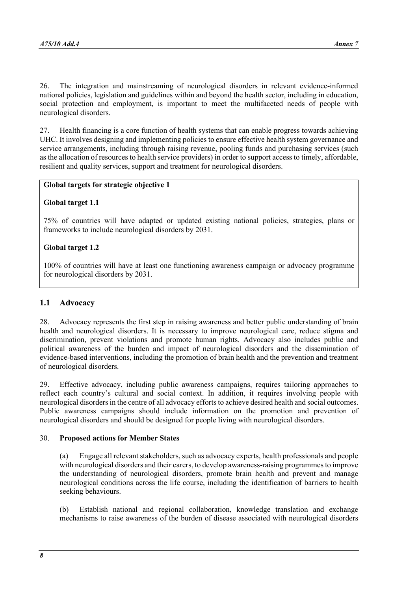26. The integration and mainstreaming of neurological disorders in relevant evidence-informed national policies, legislation and guidelines within and beyond the health sector, including in education, social protection and employment, is important to meet the multifaceted needs of people with neurological disorders.

27. Health financing is a core function of health systems that can enable progress towards achieving UHC. It involves designing and implementing policies to ensure effective health system governance and service arrangements, including through raising revenue, pooling funds and purchasing services (such as the allocation of resources to health service providers) in order to support access to timely, affordable, resilient and quality services, support and treatment for neurological disorders.

## **Global targets for strategic objective 1**

## **Global target 1.1**

75% of countries will have adapted or updated existing national policies, strategies, plans or frameworks to include neurological disorders by 2031.

## **Global target 1.2**

100% of countries will have at least one functioning awareness campaign or advocacy programme for neurological disorders by 2031.

## **1.1 Advocacy**

28. Advocacy represents the first step in raising awareness and better public understanding of brain health and neurological disorders. It is necessary to improve neurological care, reduce stigma and discrimination, prevent violations and promote human rights. Advocacy also includes public and political awareness of the burden and impact of neurological disorders and the dissemination of evidence-based interventions, including the promotion of brain health and the prevention and treatment of neurological disorders.

29. Effective advocacy, including public awareness campaigns, requires tailoring approaches to reflect each country's cultural and social context. In addition, it requires involving people with neurological disorders in the centre of all advocacy efforts to achieve desired health and social outcomes. Public awareness campaigns should include information on the promotion and prevention of neurological disorders and should be designed for people living with neurological disorders.

#### 30. **Proposed actions for Member States**

(a) Engage all relevant stakeholders, such as advocacy experts, health professionals and people with neurological disorders and their carers, to develop awareness-raising programmes to improve the understanding of neurological disorders, promote brain health and prevent and manage neurological conditions across the life course, including the identification of barriers to health seeking behaviours.

(b) Establish national and regional collaboration, knowledge translation and exchange mechanisms to raise awareness of the burden of disease associated with neurological disorders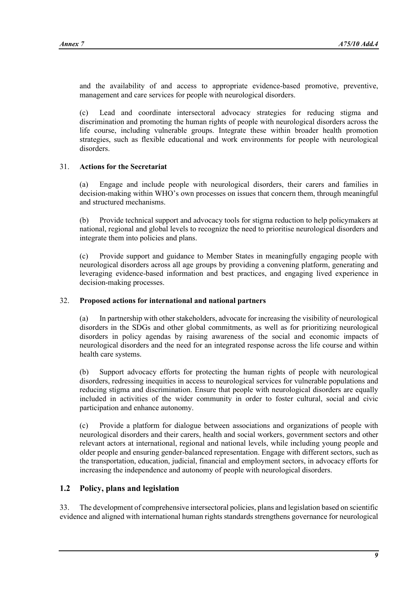and the availability of and access to appropriate evidence-based promotive, preventive, management and care services for people with neurological disorders.

(c) Lead and coordinate intersectoral advocacy strategies for reducing stigma and discrimination and promoting the human rights of people with neurological disorders across the life course, including vulnerable groups. Integrate these within broader health promotion strategies, such as flexible educational and work environments for people with neurological disorders.

# 31. **Actions for the Secretariat**

(a) Engage and include people with neurological disorders, their carers and families in decision-making within WHO's own processes on issues that concern them, through meaningful and structured mechanisms.

(b) Provide technical support and advocacy tools for stigma reduction to help policymakers at national, regional and global levels to recognize the need to prioritise neurological disorders and integrate them into policies and plans.

(c) Provide support and guidance to Member States in meaningfully engaging people with neurological disorders across all age groups by providing a convening platform, generating and leveraging evidence-based information and best practices, and engaging lived experience in decision-making processes.

#### 32. **Proposed actions for international and national partners**

(a) In partnership with other stakeholders, advocate for increasing the visibility of neurological disorders in the SDGs and other global commitments, as well as for prioritizing neurological disorders in policy agendas by raising awareness of the social and economic impacts of neurological disorders and the need for an integrated response across the life course and within health care systems.

(b) Support advocacy efforts for protecting the human rights of people with neurological disorders, redressing inequities in access to neurological services for vulnerable populations and reducing stigma and discrimination. Ensure that people with neurological disorders are equally included in activities of the wider community in order to foster cultural, social and civic participation and enhance autonomy.

(c) Provide a platform for dialogue between associations and organizations of people with neurological disorders and their carers, health and social workers, government sectors and other relevant actors at international, regional and national levels, while including young people and older people and ensuring gender-balanced representation. Engage with different sectors, such as the transportation, education, judicial, financial and employment sectors, in advocacy efforts for increasing the independence and autonomy of people with neurological disorders.

## **1.2 Policy, plans and legislation**

33. The development of comprehensive intersectoral policies, plans and legislation based on scientific evidence and aligned with international human rights standards strengthens governance for neurological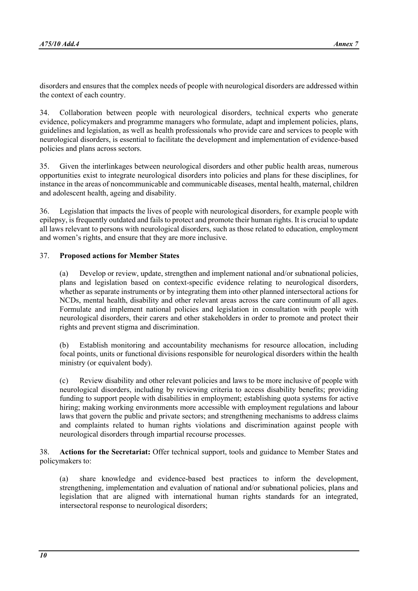disorders and ensures that the complex needs of people with neurological disorders are addressed within the context of each country.

34. Collaboration between people with neurological disorders, technical experts who generate evidence, policymakers and programme managers who formulate, adapt and implement policies, plans, guidelines and legislation, as well as health professionals who provide care and services to people with neurological disorders, is essential to facilitate the development and implementation of evidence-based policies and plans across sectors.

35. Given the interlinkages between neurological disorders and other public health areas, numerous opportunities exist to integrate neurological disorders into policies and plans for these disciplines, for instance in the areas of noncommunicable and communicable diseases, mental health, maternal, children and adolescent health, ageing and disability.

36. Legislation that impacts the lives of people with neurological disorders, for example people with epilepsy, is frequently outdated and fails to protect and promote their human rights. It is crucial to update all laws relevant to persons with neurological disorders, such as those related to education, employment and women's rights, and ensure that they are more inclusive.

## 37. **Proposed actions for Member States**

(a) Develop or review, update, strengthen and implement national and/or subnational policies, plans and legislation based on context-specific evidence relating to neurological disorders, whether as separate instruments or by integrating them into other planned intersectoral actions for NCDs, mental health, disability and other relevant areas across the care continuum of all ages. Formulate and implement national policies and legislation in consultation with people with neurological disorders, their carers and other stakeholders in order to promote and protect their rights and prevent stigma and discrimination.

(b) Establish monitoring and accountability mechanisms for resource allocation, including focal points, units or functional divisions responsible for neurological disorders within the health ministry (or equivalent body).

(c) Review disability and other relevant policies and laws to be more inclusive of people with neurological disorders, including by reviewing criteria to access disability benefits; providing funding to support people with disabilities in employment; establishing quota systems for active hiring; making working environments more accessible with employment regulations and labour laws that govern the public and private sectors; and strengthening mechanisms to address claims and complaints related to human rights violations and discrimination against people with neurological disorders through impartial recourse processes.

38. **Actions for the Secretariat:** Offer technical support, tools and guidance to Member States and policymakers to:

(a) share knowledge and evidence-based best practices to inform the development, strengthening, implementation and evaluation of national and/or subnational policies, plans and legislation that are aligned with international human rights standards for an integrated, intersectoral response to neurological disorders;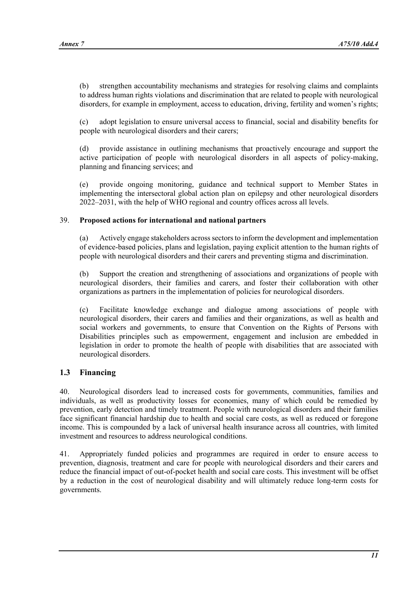(b) strengthen accountability mechanisms and strategies for resolving claims and complaints to address human rights violations and discrimination that are related to people with neurological disorders, for example in employment, access to education, driving, fertility and women's rights;

(c) adopt legislation to ensure universal access to financial, social and disability benefits for people with neurological disorders and their carers;

(d) provide assistance in outlining mechanisms that proactively encourage and support the active participation of people with neurological disorders in all aspects of policy-making, planning and financing services; and

(e) provide ongoing monitoring, guidance and technical support to Member States in implementing the intersectoral global action plan on epilepsy and other neurological disorders 2022–2031, with the help of WHO regional and country offices across all levels.

## 39. **Proposed actions for international and national partners**

(a) Actively engage stakeholders across sectors to inform the development and implementation of evidence-based policies, plans and legislation, paying explicit attention to the human rights of people with neurological disorders and their carers and preventing stigma and discrimination.

(b) Support the creation and strengthening of associations and organizations of people with neurological disorders, their families and carers, and foster their collaboration with other organizations as partners in the implementation of policies for neurological disorders.

(c) Facilitate knowledge exchange and dialogue among associations of people with neurological disorders, their carers and families and their organizations, as well as health and social workers and governments, to ensure that Convention on the Rights of Persons with Disabilities principles such as empowerment, engagement and inclusion are embedded in legislation in order to promote the health of people with disabilities that are associated with neurological disorders.

# **1.3 Financing**

40. Neurological disorders lead to increased costs for governments, communities, families and individuals, as well as productivity losses for economies, many of which could be remedied by prevention, early detection and timely treatment. People with neurological disorders and their families face significant financial hardship due to health and social care costs, as well as reduced or foregone income. This is compounded by a lack of universal health insurance across all countries, with limited investment and resources to address neurological conditions.

41. Appropriately funded policies and programmes are required in order to ensure access to prevention, diagnosis, treatment and care for people with neurological disorders and their carers and reduce the financial impact of out-of-pocket health and social care costs. This investment will be offset by a reduction in the cost of neurological disability and will ultimately reduce long-term costs for governments.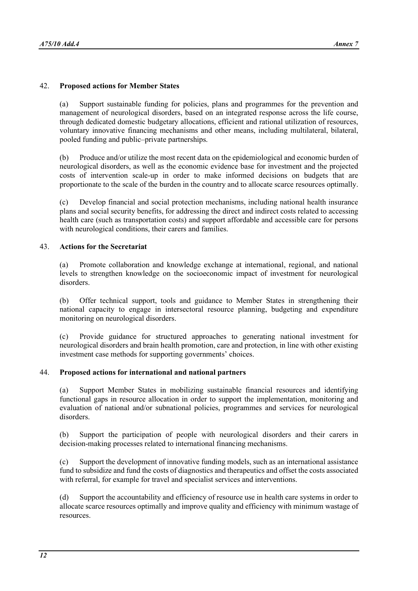#### 42. **Proposed actions for Member States**

(a) Support sustainable funding for policies, plans and programmes for the prevention and management of neurological disorders, based on an integrated response across the life course, through dedicated domestic budgetary allocations, efficient and rational utilization of resources, voluntary innovative financing mechanisms and other means, including multilateral, bilateral, pooled funding and public–private partnerships.

(b) Produce and/or utilize the most recent data on the epidemiological and economic burden of neurological disorders, as well as the economic evidence base for investment and the projected costs of intervention scale-up in order to make informed decisions on budgets that are proportionate to the scale of the burden in the country and to allocate scarce resources optimally.

(c) Develop financial and social protection mechanisms, including national health insurance plans and social security benefits, for addressing the direct and indirect costs related to accessing health care (such as transportation costs) and support affordable and accessible care for persons with neurological conditions, their carers and families.

#### 43. **Actions for the Secretariat**

(a) Promote collaboration and knowledge exchange at international, regional, and national levels to strengthen knowledge on the socioeconomic impact of investment for neurological disorders.

(b) Offer technical support, tools and guidance to Member States in strengthening their national capacity to engage in intersectoral resource planning, budgeting and expenditure monitoring on neurological disorders.

(c) Provide guidance for structured approaches to generating national investment for neurological disorders and brain health promotion, care and protection, in line with other existing investment case methods for supporting governments' choices.

#### 44. **Proposed actions for international and national partners**

(a) Support Member States in mobilizing sustainable financial resources and identifying functional gaps in resource allocation in order to support the implementation, monitoring and evaluation of national and/or subnational policies, programmes and services for neurological disorders.

(b) Support the participation of people with neurological disorders and their carers in decision-making processes related to international financing mechanisms.

(c) Support the development of innovative funding models, such as an international assistance fund to subsidize and fund the costs of diagnostics and therapeutics and offset the costs associated with referral, for example for travel and specialist services and interventions.

(d) Support the accountability and efficiency of resource use in health care systems in order to allocate scarce resources optimally and improve quality and efficiency with minimum wastage of resources.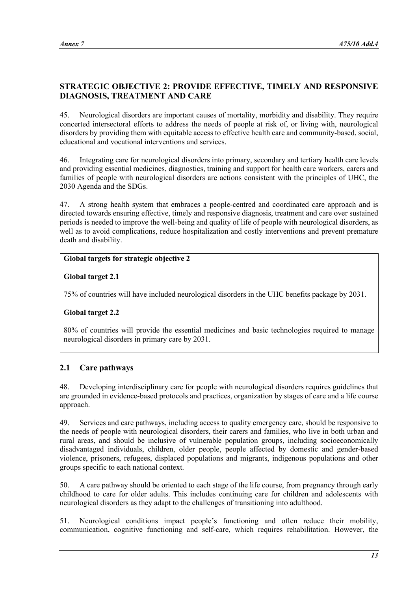# **STRATEGIC OBJECTIVE 2: PROVIDE EFFECTIVE, TIMELY AND RESPONSIVE DIAGNOSIS, TREATMENT AND CARE**

45. Neurological disorders are important causes of mortality, morbidity and disability. They require concerted intersectoral efforts to address the needs of people at risk of, or living with, neurological disorders by providing them with equitable access to effective health care and community-based, social, educational and vocational interventions and services.

46. Integrating care for neurological disorders into primary, secondary and tertiary health care levels and providing essential medicines, diagnostics, training and support for health care workers, carers and families of people with neurological disorders are actions consistent with the principles of UHC, the 2030 Agenda and the SDGs.

47. A strong health system that embraces a people-centred and coordinated care approach and is directed towards ensuring effective, timely and responsive diagnosis, treatment and care over sustained periods is needed to improve the well-being and quality of life of people with neurological disorders, as well as to avoid complications, reduce hospitalization and costly interventions and prevent premature death and disability.

# **Global targets for strategic objective 2**

## **Global target 2.1**

75% of countries will have included neurological disorders in the UHC benefits package by 2031.

## **Global target 2.2**

80% of countries will provide the essential medicines and basic technologies required to manage neurological disorders in primary care by 2031.

# **2.1 Care pathways**

48. Developing interdisciplinary care for people with neurological disorders requires guidelines that are grounded in evidence-based protocols and practices, organization by stages of care and a life course approach.

49. Services and care pathways, including access to quality emergency care, should be responsive to the needs of people with neurological disorders, their carers and families, who live in both urban and rural areas, and should be inclusive of vulnerable population groups, including socioeconomically disadvantaged individuals, children, older people, people affected by domestic and gender-based violence, prisoners, refugees, displaced populations and migrants, indigenous populations and other groups specific to each national context.

50. A care pathway should be oriented to each stage of the life course, from pregnancy through early childhood to care for older adults. This includes continuing care for children and adolescents with neurological disorders as they adapt to the challenges of transitioning into adulthood.

51. Neurological conditions impact people's functioning and often reduce their mobility, communication, cognitive functioning and self-care, which requires rehabilitation. However, the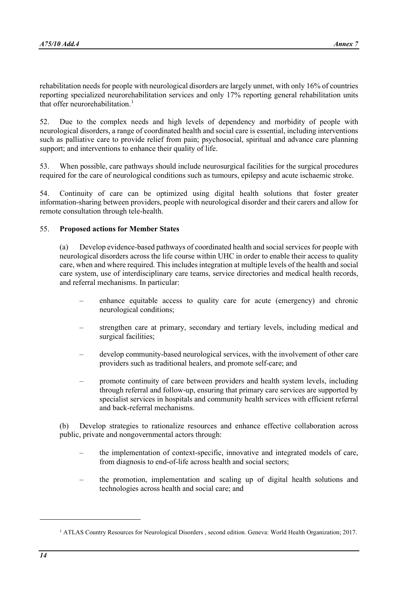rehabilitation needs for people with neurological disorders are largely unmet, with only 16% of countries reporting specialized neurorehabilitation services and only 17% reporting general rehabilitation units that offer neurorehabilitation.<sup>[1](#page-13-0)</sup>

52. Due to the complex needs and high levels of dependency and morbidity of people with neurological disorders, a range of coordinated health and social care is essential, including interventions such as palliative care to provide relief from pain; psychosocial, spiritual and advance care planning support; and interventions to enhance their quality of life.

53. When possible, care pathways should include neurosurgical facilities for the surgical procedures required for the care of neurological conditions such as tumours, epilepsy and acute ischaemic stroke.

54. Continuity of care can be optimized using digital health solutions that foster greater information-sharing between providers, people with neurological disorder and their carers and allow for remote consultation through tele-health.

## 55. **Proposed actions for Member States**

(a) Develop evidence-based pathways of coordinated health and social services for people with neurological disorders across the life course within UHC in order to enable their access to quality care, when and where required. This includes integration at multiple levels of the health and social care system, use of interdisciplinary care teams, service directories and medical health records, and referral mechanisms. In particular:

- enhance equitable access to quality care for acute (emergency) and chronic neurological conditions;
- strengthen care at primary, secondary and tertiary levels, including medical and surgical facilities;
- develop community-based neurological services, with the involvement of other care providers such as traditional healers, and promote self-care; and
- promote continuity of care between providers and health system levels, including through referral and follow-up, ensuring that primary care services are supported by specialist services in hospitals and community health services with efficient referral and back-referral mechanisms.

(b) Develop strategies to rationalize resources and enhance effective collaboration across public, private and nongovernmental actors through:

- the implementation of context-specific, innovative and integrated models of care, from diagnosis to end-of-life across health and social sectors;
- the promotion, implementation and scaling up of digital health solutions and technologies across health and social care; and

<span id="page-13-0"></span><sup>&</sup>lt;sup>1</sup> ATLAS Country Resources for Neurological Disorders, second edition. Geneva: World Health Organization; 2017.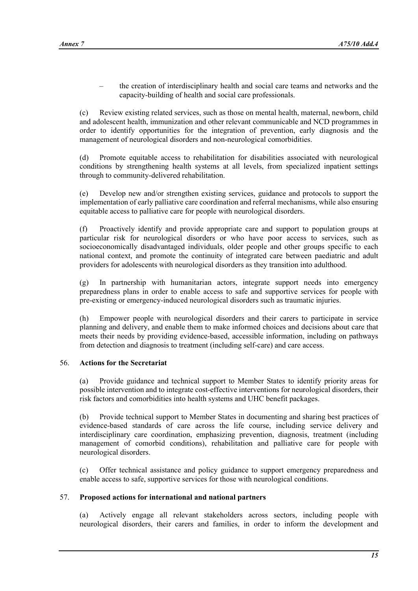– the creation of interdisciplinary health and social care teams and networks and the capacity-building of health and social care professionals.

(c) Review existing related services, such as those on mental health, maternal, newborn, child and adolescent health, immunization and other relevant communicable and NCD programmes in order to identify opportunities for the integration of prevention, early diagnosis and the management of neurological disorders and non-neurological comorbidities.

(d) Promote equitable access to rehabilitation for disabilities associated with neurological conditions by strengthening health systems at all levels, from specialized inpatient settings through to community-delivered rehabilitation.

(e) Develop new and/or strengthen existing services, guidance and protocols to support the implementation of early palliative care coordination and referral mechanisms, while also ensuring equitable access to palliative care for people with neurological disorders.

(f) Proactively identify and provide appropriate care and support to population groups at particular risk for neurological disorders or who have poor access to services, such as socioeconomically disadvantaged individuals, older people and other groups specific to each national context, and promote the continuity of integrated care between paediatric and adult providers for adolescents with neurological disorders as they transition into adulthood.

(g) In partnership with humanitarian actors, integrate support needs into emergency preparedness plans in order to enable access to safe and supportive services for people with pre-existing or emergency-induced neurological disorders such as traumatic injuries.

(h) Empower people with neurological disorders and their carers to participate in service planning and delivery, and enable them to make informed choices and decisions about care that meets their needs by providing evidence-based, accessible information, including on pathways from detection and diagnosis to treatment (including self-care) and care access.

## 56. **Actions for the Secretariat**

(a) Provide guidance and technical support to Member States to identify priority areas for possible intervention and to integrate cost-effective interventions for neurological disorders, their risk factors and comorbidities into health systems and UHC benefit packages.

(b) Provide technical support to Member States in documenting and sharing best practices of evidence-based standards of care across the life course, including service delivery and interdisciplinary care coordination, emphasizing prevention, diagnosis, treatment (including management of comorbid conditions), rehabilitation and palliative care for people with neurological disorders.

(c) Offer technical assistance and policy guidance to support emergency preparedness and enable access to safe, supportive services for those with neurological conditions.

#### 57. **Proposed actions for international and national partners**

(a) Actively engage all relevant stakeholders across sectors, including people with neurological disorders, their carers and families, in order to inform the development and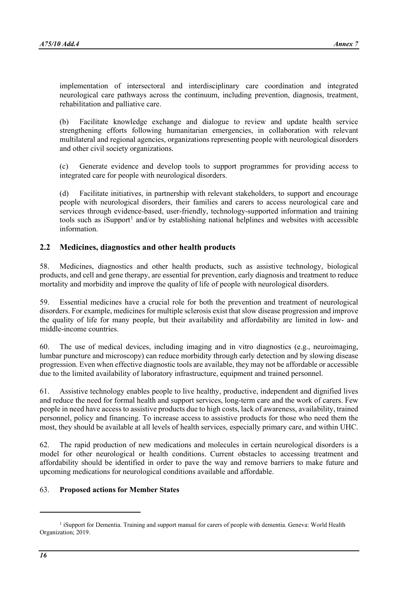implementation of intersectoral and interdisciplinary care coordination and integrated neurological care pathways across the continuum, including prevention, diagnosis, treatment, rehabilitation and palliative care.

(b) Facilitate knowledge exchange and dialogue to review and update health service strengthening efforts following humanitarian emergencies, in collaboration with relevant multilateral and regional agencies, organizations representing people with neurological disorders and other civil society organizations.

(c) Generate evidence and develop tools to support programmes for providing access to integrated care for people with neurological disorders.

(d) Facilitate initiatives, in partnership with relevant stakeholders, to support and encourage people with neurological disorders, their families and carers to access neurological care and services through evidence-based, user-friendly, technology-supported information and training tools such as  $iS$ upport<sup>[1](#page-15-0)</sup> and/or by establishing national helplines and websites with accessible information.

# **2.2 Medicines, diagnostics and other health products**

58. Medicines, diagnostics and other health products, such as assistive technology, biological products, and cell and gene therapy, are essential for prevention, early diagnosis and treatment to reduce mortality and morbidity and improve the quality of life of people with neurological disorders.

59. Essential medicines have a crucial role for both the prevention and treatment of neurological disorders. For example, medicines for multiple sclerosis exist that slow disease progression and improve the quality of life for many people, but their availability and affordability are limited in low- and middle-income countries.

60. The use of medical devices, including imaging and in vitro diagnostics (e.g., neuroimaging, lumbar puncture and microscopy) can reduce morbidity through early detection and by slowing disease progression. Even when effective diagnostic tools are available, they may not be affordable or accessible due to the limited availability of laboratory infrastructure, equipment and trained personnel.

61. Assistive technology enables people to live healthy, productive, independent and dignified lives and reduce the need for formal health and support services, long-term care and the work of carers. Few people in need have access to assistive products due to high costs, lack of awareness, availability, trained personnel, policy and financing. To increase access to assistive products for those who need them the most, they should be available at all levels of health services, especially primary care, and within UHC.

62. The rapid production of new medications and molecules in certain neurological disorders is a model for other neurological or health conditions. Current obstacles to accessing treatment and affordability should be identified in order to pave the way and remove barriers to make future and upcoming medications for neurological conditions available and affordable.

## 63. **Proposed actions for Member States**

<span id="page-15-0"></span><sup>&</sup>lt;sup>1</sup> iSupport for Dementia. Training and support manual for carers of people with dementia. Geneva: World Health Organization; 2019.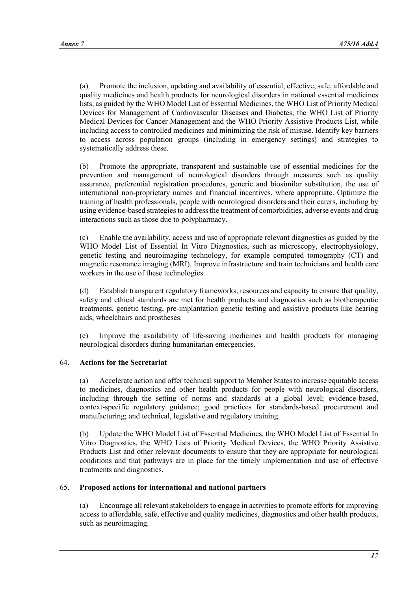(a) Promote the inclusion, updating and availability of essential, effective, safe, affordable and quality medicines and health products for neurological disorders in national essential medicines lists, as guided by the WHO Model List of Essential Medicines, the WHO List of Priority Medical Devices for Management of Cardiovascular Diseases and Diabetes, the WHO List of Priority Medical Devices for Cancer Management and the WHO Priority Assistive Products List, while including access to controlled medicines and minimizing the risk of misuse. Identify key barriers to access across population groups (including in emergency settings) and strategies to systematically address these.

(b) Promote the appropriate, transparent and sustainable use of essential medicines for the prevention and management of neurological disorders through measures such as quality assurance, preferential registration procedures, generic and biosimilar substitution, the use of international non-proprietary names and financial incentives, where appropriate. Optimize the training of health professionals, people with neurological disorders and their carers, including by using evidence-based strategies to address the treatment of comorbidities, adverse events and drug interactions such as those due to polypharmacy.

(c) Enable the availability, access and use of appropriate relevant diagnostics as guided by the WHO Model List of Essential In Vitro Diagnostics, such as microscopy, electrophysiology, genetic testing and neuroimaging technology, for example computed tomography (CT) and magnetic resonance imaging (MRI). Improve infrastructure and train technicians and health care workers in the use of these technologies.

(d) Establish transparent regulatory frameworks, resources and capacity to ensure that quality, safety and ethical standards are met for health products and diagnostics such as biotherapeutic treatments, genetic testing, pre-implantation genetic testing and assistive products like hearing aids, wheelchairs and prostheses.

(e) Improve the availability of life-saving medicines and health products for managing neurological disorders during humanitarian emergencies.

## 64. **Actions for the Secretariat**

(a) Accelerate action and offer technical support to Member States to increase equitable access to medicines, diagnostics and other health products for people with neurological disorders, including through the setting of norms and standards at a global level; evidence-based, context-specific regulatory guidance; good practices for standards-based procurement and manufacturing; and technical, legislative and regulatory training.

(b) Update the WHO Model List of Essential Medicines, the WHO Model List of Essential In Vitro Diagnostics, the WHO Lists of Priority Medical Devices, the WHO Priority Assistive Products List and other relevant documents to ensure that they are appropriate for neurological conditions and that pathways are in place for the timely implementation and use of effective treatments and diagnostics.

## 65. **Proposed actions for international and national partners**

(a) Encourage all relevant stakeholders to engage in activities to promote efforts for improving access to affordable, safe, effective and quality medicines, diagnostics and other health products, such as neuroimaging.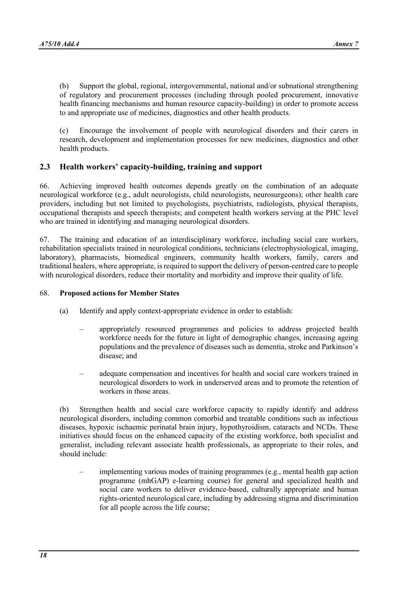(b) Support the global, regional, intergovernmental, national and/or subnational strengthening of regulatory and procurement processes (including through pooled procurement, innovative health financing mechanisms and human resource capacity-building) in order to promote access to and appropriate use of medicines, diagnostics and other health products.

(c) Encourage the involvement of people with neurological disorders and their carers in research, development and implementation processes for new medicines, diagnostics and other health products.

# **2.3 Health workers' capacity-building, training and support**

66. Achieving improved health outcomes depends greatly on the combination of an adequate neurological workforce (e.g., adult neurologists, child neurologists, neurosurgeons); other health care providers, including but not limited to psychologists, psychiatrists, radiologists, physical therapists, occupational therapists and speech therapists; and competent health workers serving at the PHC level who are trained in identifying and managing neurological disorders.

67. The training and education of an interdisciplinary workforce, including social care workers, rehabilitation specialists trained in neurological conditions, technicians (electrophysiological, imaging, laboratory), pharmacists, biomedical engineers, community health workers, family, carers and traditional healers, where appropriate, is required to support the delivery of person-centred care to people with neurological disorders, reduce their mortality and morbidity and improve their quality of life.

## 68. **Proposed actions for Member States**

- (a) Identify and apply context-appropriate evidence in order to establish:
	- appropriately resourced programmes and policies to address projected health workforce needs for the future in light of demographic changes, increasing ageing populations and the prevalence of diseases such as dementia, stroke and Parkinson's disease; and
	- adequate compensation and incentives for health and social care workers trained in neurological disorders to work in underserved areas and to promote the retention of workers in those areas.

(b) Strengthen health and social care workforce capacity to rapidly identify and address neurological disorders, including common comorbid and treatable conditions such as infectious diseases, hypoxic ischaemic perinatal brain injury, hypothyroidism, cataracts and NCDs. These initiatives should focus on the enhanced capacity of the existing workforce, both specialist and generalist, including relevant associate health professionals, as appropriate to their roles, and should include:

implementing various modes of training programmes (e.g., mental health gap action programme (mhGAP) e-learning course) for general and specialized health and social care workers to deliver evidence-based, culturally appropriate and human rights-oriented neurological care, including by addressing stigma and discrimination for all people across the life course;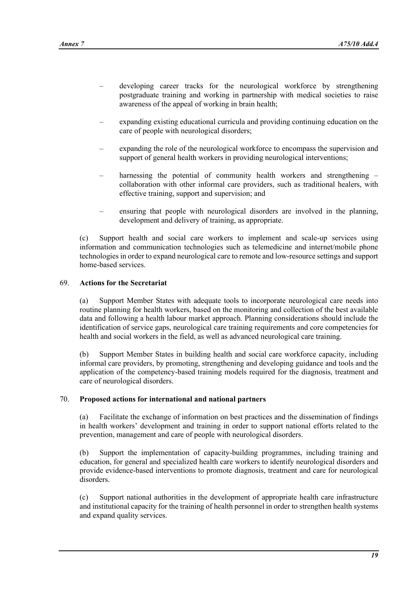- developing career tracks for the neurological workforce by strengthening postgraduate training and working in partnership with medical societies to raise awareness of the appeal of working in brain health;
- expanding existing educational curricula and providing continuing education on the care of people with neurological disorders;
- expanding the role of the neurological workforce to encompass the supervision and support of general health workers in providing neurological interventions;
- harnessing the potential of community health workers and strengthening collaboration with other informal care providers, such as traditional healers, with effective training, support and supervision; and
- ensuring that people with neurological disorders are involved in the planning, development and delivery of training, as appropriate.

(c) Support health and social care workers to implement and scale-up services using information and communication technologies such as telemedicine and internet/mobile phone technologies in order to expand neurological care to remote and low-resource settings and support home-based services.

## 69. **Actions for the Secretariat**

(a) Support Member States with adequate tools to incorporate neurological care needs into routine planning for health workers, based on the monitoring and collection of the best available data and following a health labour market approach. Planning considerations should include the identification of service gaps, neurological care training requirements and core competencies for health and social workers in the field, as well as advanced neurological care training.

(b) Support Member States in building health and social care workforce capacity, including informal care providers, by promoting, strengthening and developing guidance and tools and the application of the competency-based training models required for the diagnosis, treatment and care of neurological disorders.

#### 70. **Proposed actions for international and national partners**

(a) Facilitate the exchange of information on best practices and the dissemination of findings in health workers' development and training in order to support national efforts related to the prevention, management and care of people with neurological disorders.

(b) Support the implementation of capacity-building programmes, including training and education, for general and specialized health care workers to identify neurological disorders and provide evidence-based interventions to promote diagnosis, treatment and care for neurological disorders.

(c) Support national authorities in the development of appropriate health care infrastructure and institutional capacity for the training of health personnel in order to strengthen health systems and expand quality services.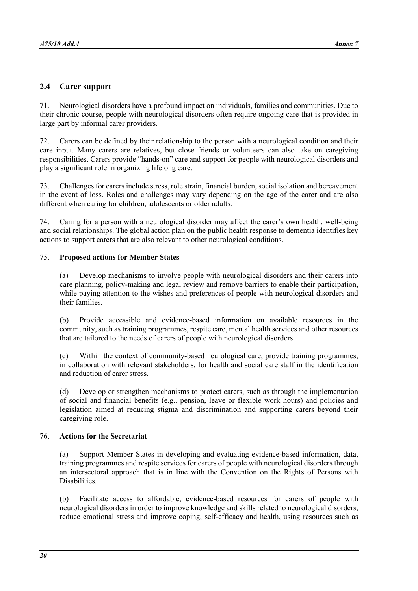# **2.4 Carer support**

71. Neurological disorders have a profound impact on individuals, families and communities. Due to their chronic course, people with neurological disorders often require ongoing care that is provided in large part by informal carer providers.

72. Carers can be defined by their relationship to the person with a neurological condition and their care input. Many carers are relatives, but close friends or volunteers can also take on caregiving responsibilities. Carers provide "hands-on" care and support for people with neurological disorders and play a significant role in organizing lifelong care.

73. Challenges for carers include stress, role strain, financial burden, social isolation and bereavement in the event of loss. Roles and challenges may vary depending on the age of the carer and are also different when caring for children, adolescents or older adults.

74. Caring for a person with a neurological disorder may affect the carer's own health, well-being and social relationships. The global action plan on the public health response to dementia identifies key actions to support carers that are also relevant to other neurological conditions.

## 75. **Proposed actions for Member States**

(a) Develop mechanisms to involve people with neurological disorders and their carers into care planning, policy-making and legal review and remove barriers to enable their participation, while paying attention to the wishes and preferences of people with neurological disorders and their families.

(b) Provide accessible and evidence-based information on available resources in the community, such as training programmes, respite care, mental health services and other resources that are tailored to the needs of carers of people with neurological disorders.

(c) Within the context of community-based neurological care, provide training programmes, in collaboration with relevant stakeholders, for health and social care staff in the identification and reduction of carer stress.

(d) Develop or strengthen mechanisms to protect carers, such as through the implementation of social and financial benefits (e.g., pension, leave or flexible work hours) and policies and legislation aimed at reducing stigma and discrimination and supporting carers beyond their caregiving role.

#### 76. **Actions for the Secretariat**

(a) Support Member States in developing and evaluating evidence-based information, data, training programmes and respite services for carers of people with neurological disorders through an intersectoral approach that is in line with the Convention on the Rights of Persons with Disabilities.

(b) Facilitate access to affordable, evidence-based resources for carers of people with neurological disorders in order to improve knowledge and skills related to neurological disorders, reduce emotional stress and improve coping, self-efficacy and health, using resources such as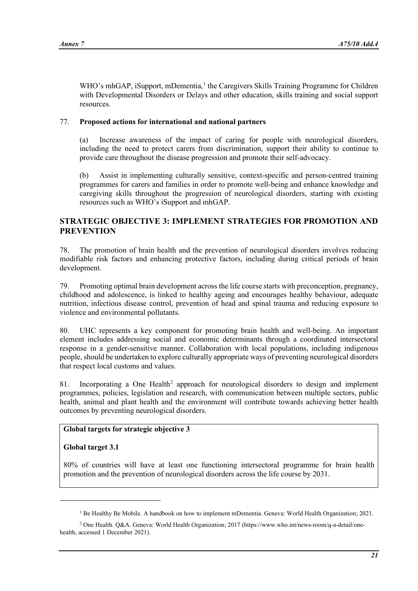WHO's mhGAP, iSupport, mDementia,<sup>[1](#page-20-0)</sup> the Caregivers Skills Training Programme for Children with Developmental Disorders or Delays and other education, skills training and social support resources.

## 77. **Proposed actions for international and national partners**

(a) Increase awareness of the impact of caring for people with neurological disorders, including the need to protect carers from discrimination, support their ability to continue to provide care throughout the disease progression and promote their self-advocacy.

(b) Assist in implementing culturally sensitive, context-specific and person-centred training programmes for carers and families in order to promote well-being and enhance knowledge and caregiving skills throughout the progression of neurological disorders, starting with existing resources such as WHO's iSupport and mhGAP.

## **STRATEGIC OBJECTIVE 3: IMPLEMENT STRATEGIES FOR PROMOTION AND PREVENTION**

78. The promotion of brain health and the prevention of neurological disorders involves reducing modifiable risk factors and enhancing protective factors, including during critical periods of brain development.

79. Promoting optimal brain development across the life course starts with preconception, pregnancy, childhood and adolescence, is linked to healthy ageing and encourages healthy behaviour, adequate nutrition, infectious disease control, prevention of head and spinal trauma and reducing exposure to violence and environmental pollutants.

80. UHC represents a key component for promoting brain health and well-being. An important element includes addressing social and economic determinants through a coordinated intersectoral response in a gender-sensitive manner. Collaboration with local populations, including indigenous people, should be undertaken to explore culturally appropriate ways of preventing neurological disorders that respect local customs and values.

81. Incorporating a One Health<sup>[2](#page-20-1)</sup> approach for neurological disorders to design and implement programmes, policies, legislation and research, with communication between multiple sectors, public health, animal and plant health and the environment will contribute towards achieving better health outcomes by preventing neurological disorders.

## **Global targets for strategic objective 3**

#### **Global target 3.1**

80% of countries will have at least one functioning intersectoral programme for brain health promotion and the prevention of neurological disorders across the life course by 2031.

<sup>&</sup>lt;sup>1</sup> Be Healthy Be Mobile. A handbook on how to implement mDementia. Geneva: World Health Organization; 2021.

<span id="page-20-1"></span><span id="page-20-0"></span><sup>2</sup> One Health. Q&A. Geneva: World Health Organization; 2017 [\(https://www.who.int/news-room/q-a-detail/one](https://www.who.int/news-room/q-a-detail/one-health)[health,](https://www.who.int/news-room/q-a-detail/one-health) accessed 1 December 2021).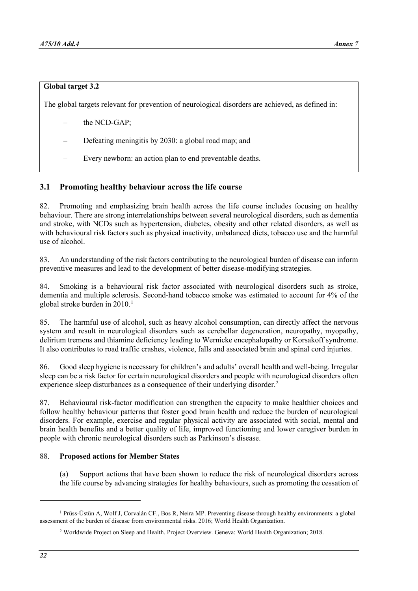## **Global target 3.2**

The global targets relevant for prevention of neurological disorders are achieved, as defined in:

- the NCD-GAP:
- Defeating meningitis by 2030: a global road map; and
- Every newborn: an action plan to end preventable deaths.

## **3.1 Promoting healthy behaviour across the life course**

82. Promoting and emphasizing brain health across the life course includes focusing on healthy behaviour. There are strong interrelationships between several neurological disorders, such as dementia and stroke, with NCDs such as hypertension, diabetes, obesity and other related disorders, as well as with behavioural risk factors such as physical inactivity, unbalanced diets, tobacco use and the harmful use of alcohol.

83. An understanding of the risk factors contributing to the neurological burden of disease can inform preventive measures and lead to the development of better disease-modifying strategies.

84. Smoking is a behavioural risk factor associated with neurological disorders such as stroke, dementia and multiple sclerosis. Second-hand tobacco smoke was estimated to account for 4% of the global stroke burden in  $2010<sup>1</sup>$  $2010<sup>1</sup>$  $2010<sup>1</sup>$ 

85. The harmful use of alcohol, such as heavy alcohol consumption, can directly affect the nervous system and result in neurological disorders such as cerebellar degeneration, neuropathy, myopathy, delirium tremens and thiamine deficiency leading to Wernicke encephalopathy or Korsakoff syndrome. It also contributes to road traffic crashes, violence, falls and associated brain and spinal cord injuries.

86. Good sleep hygiene is necessary for children's and adults' overall health and well-being. Irregular sleep can be a risk factor for certain neurological disorders and people with neurological disorders often experience sleep disturbances as a consequence of their underlying disorder.<sup>[2](#page-21-1)</sup>

87. Behavioural risk-factor modification can strengthen the capacity to make healthier choices and follow healthy behaviour patterns that foster good brain health and reduce the burden of neurological disorders. For example, exercise and regular physical activity are associated with social, mental and brain health benefits and a better quality of life, improved functioning and lower caregiver burden in people with chronic neurological disorders such as Parkinson's disease.

#### 88. **Proposed actions for Member States**

(a) Support actions that have been shown to reduce the risk of neurological disorders across the life course by advancing strategies for healthy behaviours, such as promoting the cessation of

<span id="page-21-1"></span><span id="page-21-0"></span><sup>1</sup> Prüss-Üstün A, Wolf J, Corvalán CF., Bos R, Neira MP. Preventing disease through healthy environments: a global assessment of the burden of disease from environmental risks. 2016; World Health Organization.

<sup>2</sup> Worldwide Project on Sleep and Health. Project Overview. Geneva: World Health Organization; 2018.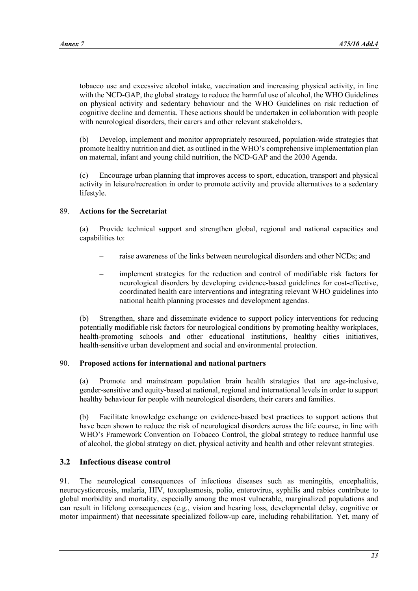tobacco use and excessive alcohol intake, vaccination and increasing physical activity, in line with the NCD-GAP, the global strategy to reduce the harmful use of alcohol, the WHO Guidelines on physical activity and sedentary behaviour and the WHO Guidelines on risk reduction of cognitive decline and dementia. These actions should be undertaken in collaboration with people with neurological disorders, their carers and other relevant stakeholders.

(b) Develop, implement and monitor appropriately resourced, population-wide strategies that promote healthy nutrition and diet, as outlined in the WHO's comprehensive implementation plan on maternal, infant and young child nutrition, the NCD-GAP and the 2030 Agenda.

(c) Encourage urban planning that improves access to sport, education, transport and physical activity in leisure/recreation in order to promote activity and provide alternatives to a sedentary lifestyle.

## 89. **Actions for the Secretariat**

(a) Provide technical support and strengthen global, regional and national capacities and capabilities to:

- raise awareness of the links between neurological disorders and other NCDs; and
- implement strategies for the reduction and control of modifiable risk factors for neurological disorders by developing evidence-based guidelines for cost-effective, coordinated health care interventions and integrating relevant WHO guidelines into national health planning processes and development agendas.

(b) Strengthen, share and disseminate evidence to support policy interventions for reducing potentially modifiable risk factors for neurological conditions by promoting healthy workplaces, health-promoting schools and other educational institutions, healthy cities initiatives, health-sensitive urban development and social and environmental protection.

## 90. **Proposed actions for international and national partners**

(a) Promote and mainstream population brain health strategies that are age-inclusive, gender-sensitive and equity-based at national, regional and international levels in order to support healthy behaviour for people with neurological disorders, their carers and families.

(b) Facilitate knowledge exchange on evidence-based best practices to support actions that have been shown to reduce the risk of neurological disorders across the life course, in line with WHO's Framework Convention on Tobacco Control, the global strategy to reduce harmful use of alcohol, the global strategy on diet, physical activity and health and other relevant strategies.

# **3.2 Infectious disease control**

91. The neurological consequences of infectious diseases such as meningitis, encephalitis, neurocysticercosis, malaria, HIV, toxoplasmosis, polio, enterovirus, syphilis and rabies contribute to global morbidity and mortality, especially among the most vulnerable, marginalized populations and can result in lifelong consequences (e.g., vision and hearing loss, developmental delay, cognitive or motor impairment) that necessitate specialized follow-up care, including rehabilitation. Yet, many of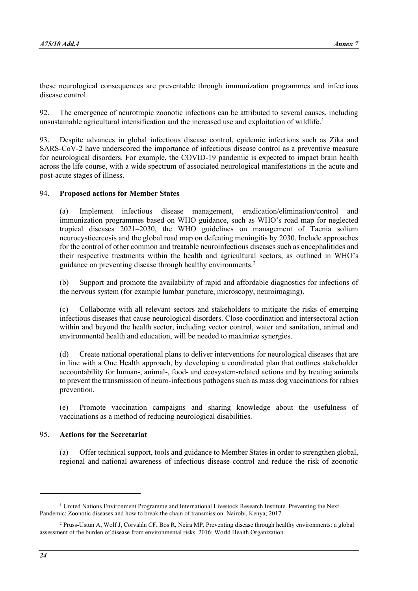these neurological consequences are preventable through immunization programmes and infectious disease control.

92. The emergence of neurotropic zoonotic infections can be attributed to several causes, including unsustainable agricultural intensification and the increased use and exploitation of wildlife. [1](#page-23-0)

93. Despite advances in global infectious disease control, epidemic infections such as Zika and SARS-CoV-2 have underscored the importance of infectious disease control as a preventive measure for neurological disorders. For example, the COVID-19 pandemic is expected to impact brain health across the life course, with a wide spectrum of associated neurological manifestations in the acute and post-acute stages of illness.

## 94. **Proposed actions for Member States**

(a) Implement infectious disease management, eradication/elimination/control and immunization programmes based on WHO guidance, such as WHO's road map for neglected tropical diseases 2021–2030, the WHO guidelines on management of Taenia solium neurocysticercosis and the global road map on defeating meningitis by 2030. Include approaches for the control of other common and treatable neuroinfectious diseases such as encephalitides and their respective treatments within the health and agricultural sectors, as outlined in WHO's guidance on preventing disease through healthy environments.<sup>[2](#page-23-1)</sup>

(b) Support and promote the availability of rapid and affordable diagnostics for infections of the nervous system (for example lumbar puncture, microscopy, neuroimaging).

(c) Collaborate with all relevant sectors and stakeholders to mitigate the risks of emerging infectious diseases that cause neurological disorders. Close coordination and intersectoral action within and beyond the health sector, including vector control, water and sanitation, animal and environmental health and education, will be needed to maximize synergies.

(d) Create national operational plans to deliver interventions for neurological diseases that are in line with a One Health approach, by developing a coordinated plan that outlines stakeholder accountability for human-, animal-, food- and ecosystem-related actions and by treating animals to prevent the transmission of neuro-infectious pathogens such as mass dog vaccinations for rabies prevention.

(e) Promote vaccination campaigns and sharing knowledge about the usefulness of vaccinations as a method of reducing neurological disabilities.

#### 95. **Actions for the Secretariat**

(a) Offer technical support, tools and guidance to Member States in order to strengthen global, regional and national awareness of infectious disease control and reduce the risk of zoonotic

<span id="page-23-0"></span> $1$  United Nations Environment Programme and International Livestock Research Institute. Preventing the Next Pandemic: Zoonotic diseases and how to break the chain of transmission. Nairobi, Kenya; 2017.

<span id="page-23-1"></span><sup>2</sup> Prüss-Üstün A, Wolf J, Corvalán CF, Bos R, Neira MP. Preventing disease through healthy environments: a global assessment of the burden of disease from environmental risks. 2016; World Health Organization.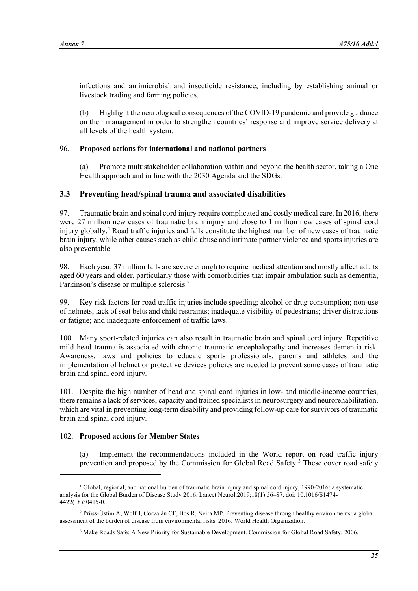infections and antimicrobial and insecticide resistance, including by establishing animal or livestock trading and farming policies.

(b) Highlight the neurological consequences of the COVID-19 pandemic and provide guidance on their management in order to strengthen countries' response and improve service delivery at all levels of the health system.

## 96. **Proposed actions for international and national partners**

(a) Promote multistakeholder collaboration within and beyond the health sector, taking a One Health approach and in line with the 2030 Agenda and the SDGs.

# **3.3 Preventing head/spinal trauma and associated disabilities**

97. Traumatic brain and spinal cord injury require complicated and costly medical care. In 2016, there were 27 million new cases of traumatic brain injury and close to 1 million new cases of spinal cord injury globally.[1](#page-24-0) Road traffic injuries and falls constitute the highest number of new cases of traumatic brain injury, while other causes such as child abuse and intimate partner violence and sports injuries are also preventable.

98. Each year, 37 million falls are severe enough to require medical attention and mostly affect adults aged 60 years and older, particularly those with comorbidities that impair ambulation such as dementia, Parkinson's disease or multiple sclerosis.<sup>[2](#page-24-1)</sup>

99. Key risk factors for road traffic injuries include speeding; alcohol or drug consumption; non-use of helmets; lack of seat belts and child restraints; inadequate visibility of pedestrians; driver distractions or fatigue; and inadequate enforcement of traffic laws.

100. Many sport-related injuries can also result in traumatic brain and spinal cord injury. Repetitive mild head trauma is associated with chronic traumatic encephalopathy and increases dementia risk. Awareness, laws and policies to educate sports professionals, parents and athletes and the implementation of helmet or protective devices policies are needed to prevent some cases of traumatic brain and spinal cord injury.

101. Despite the high number of head and spinal cord injuries in low- and middle-income countries, there remains a lack of services, capacity and trained specialists in neurosurgery and neurorehabilitation, which are vital in preventing long-term disability and providing follow-up care for survivors of traumatic brain and spinal cord injury.

## 102. **Proposed actions for Member States**

(a) Implement the recommendations included in the World report on road traffic injury prevention and proposed by the Commission for Global Road Safety.<sup>[3](#page-24-2)</sup> These cover road safety

<span id="page-24-0"></span><sup>&</sup>lt;sup>1</sup> Global, regional, and national burden of traumatic brain injury and spinal cord injury, 1990-2016: a systematic analysis for the Global Burden of Disease Study 2016. Lancet Neurol.2019;18(1):56–87. doi: 10.1016/S1474- 4422(18)30415-0.

<span id="page-24-2"></span><span id="page-24-1"></span><sup>2</sup> Prüss-Üstün A, Wolf J, Corvalán CF, Bos R, Neira MP. Preventing disease through healthy environments: a global assessment of the burden of disease from environmental risks. 2016; World Health Organization.

<sup>3</sup> Make Roads Safe: A New Priority for Sustainable Development. Commission for Global Road Safety; 2006.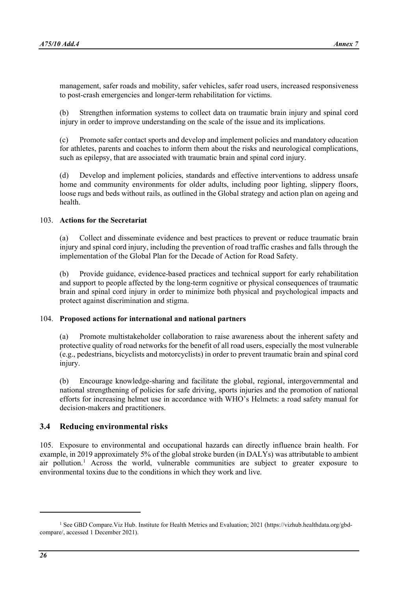management, safer roads and mobility, safer vehicles, safer road users, increased responsiveness to post-crash emergencies and longer-term rehabilitation for victims.

(b) Strengthen information systems to collect data on traumatic brain injury and spinal cord injury in order to improve understanding on the scale of the issue and its implications.

(c) Promote safer contact sports and develop and implement policies and mandatory education for athletes, parents and coaches to inform them about the risks and neurological complications, such as epilepsy, that are associated with traumatic brain and spinal cord injury.

(d) Develop and implement policies, standards and effective interventions to address unsafe home and community environments for older adults, including poor lighting, slippery floors, loose rugs and beds without rails, as outlined in the Global strategy and action plan on ageing and health.

#### 103. **Actions for the Secretariat**

(a) Collect and disseminate evidence and best practices to prevent or reduce traumatic brain injury and spinal cord injury, including the prevention of road traffic crashes and falls through the implementation of the Global Plan for the Decade of Action for Road Safety.

(b) Provide guidance, evidence-based practices and technical support for early rehabilitation and support to people affected by the long-term cognitive or physical consequences of traumatic brain and spinal cord injury in order to minimize both physical and psychological impacts and protect against discrimination and stigma.

#### 104. **Proposed actions for international and national partners**

(a) Promote multistakeholder collaboration to raise awareness about the inherent safety and protective quality of road networks for the benefit of all road users, especially the most vulnerable (e.g., pedestrians, bicyclists and motorcyclists) in order to prevent traumatic brain and spinal cord injury.

(b) Encourage knowledge-sharing and facilitate the global, regional, intergovernmental and national strengthening of policies for safe driving, sports injuries and the promotion of national efforts for increasing helmet use in accordance with WHO's Helmets: a road safety manual for decision-makers and practitioners.

#### **3.4 Reducing environmental risks**

105. Exposure to environmental and occupational hazards can directly influence brain health. For example, in 2019 approximately 5% of the global stroke burden (in DALYs) was attributable to ambient air pollution.[1](#page-25-0) Across the world, vulnerable communities are subject to greater exposure to environmental toxins due to the conditions in which they work and live.

<span id="page-25-0"></span><sup>&</sup>lt;sup>1</sup> See GBD Compare. Viz Hub. Institute for Health Metrics and Evaluation; 2021 [\(https://vizhub.healthdata.org/gbd](https://vizhub.healthdata.org/gbd-compare/)[compare/,](https://vizhub.healthdata.org/gbd-compare/) accessed 1 December 2021).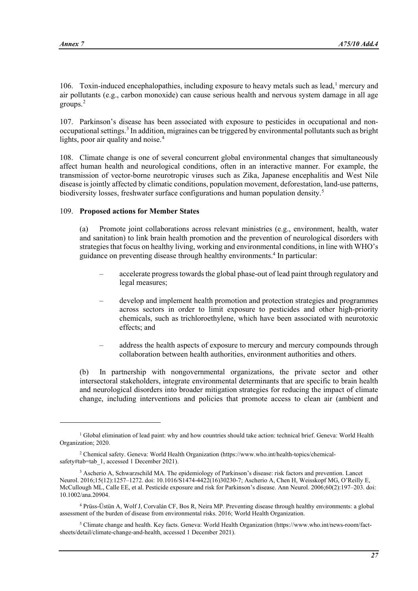[1](#page-26-0)06. Toxin-induced encephalopathies, including exposure to heavy metals such as lead, $\frac{1}{1}$  mercury and air pollutants (e.g., carbon monoxide) can cause serious health and nervous system damage in all age groups.[2](#page-26-1)

107. Parkinson's disease has been associated with exposure to pesticides in occupational and non-occupational settings.<sup>[3](#page-26-2)</sup> In addition, migraines can be triggered by environmental pollutants such as bright lights, poor air quality and noise.<sup>[4](#page-26-3)</sup>

108. Climate change is one of several concurrent global environmental changes that simultaneously affect human health and neurological conditions, often in an interactive manner. For example, the transmission of vector-borne neurotropic viruses such as Zika, Japanese encephalitis and West Nile disease is jointly affected by climatic conditions, population movement, deforestation, land-use patterns, biodiversity losses, freshwater surface configurations and human population density.<sup>[5](#page-26-4)</sup>

#### 109. **Proposed actions for Member States**

(a) Promote joint collaborations across relevant ministries (e.g., environment, health, water and sanitation) to link brain health promotion and the prevention of neurological disorders with strategies that focus on healthy living, working and environmental conditions, in line with WHO's guidance on preventing disease through healthy environments.<sup>4</sup> In particular:

- accelerate progress towards the global phase-out of lead paint through regulatory and legal measures;
- develop and implement health promotion and protection strategies and programmes across sectors in order to limit exposure to pesticides and other high-priority chemicals, such as trichloroethylene, which have been associated with neurotoxic effects; and
- address the health aspects of exposure to mercury and mercury compounds through collaboration between health authorities, environment authorities and others.

(b) In partnership with nongovernmental organizations, the private sector and other intersectoral stakeholders, integrate environmental determinants that are specific to brain health and neurological disorders into broader mitigation strategies for reducing the impact of climate change, including interventions and policies that promote access to clean air (ambient and

<span id="page-26-0"></span><sup>&</sup>lt;sup>1</sup> Global elimination of lead paint: why and how countries should take action: technical brief. Geneva: World Health Organization; 2020.

<span id="page-26-1"></span><sup>2</sup> Chemical safety. Geneva: World Health Organization [\(https://www.who.int/health-topics/chemical](https://www.who.int/health-topics/chemical-safety#tab=tab_1)[safety#tab=tab\\_1,](https://www.who.int/health-topics/chemical-safety#tab=tab_1) accessed 1 December 2021).

<span id="page-26-2"></span><sup>3</sup> Ascherio A, Schwarzschild MA. The epidemiology of Parkinson's disease: risk factors and prevention. Lancet Neurol. 2016;15(12):1257–1272. doi: 10.1016/S1474-4422(16)30230-7; Ascherio A, Chen H, Weisskopf MG, O'Reilly E, McCullough ML, Calle EE, et al. Pesticide exposure and risk for Parkinson's disease. Ann Neurol. 2006;60(2):197–203. doi: 10.1002/ana.20904.

<span id="page-26-3"></span><sup>4</sup> Prüss-Üstün A, Wolf J, Corvalán CF, Bos R, Neira MP. Preventing disease through healthy environments: a global assessment of the burden of disease from environmental risks. 2016; World Health Organization.

<span id="page-26-4"></span><sup>5</sup> Climate change and health. Key facts. Geneva: World Health Organization [\(https://www.who.int/news-room/fact](https://www.who.int/news-room/fact-sheets/detail/climate-change-and-health)[sheets/detail/climate-change-and-health,](https://www.who.int/news-room/fact-sheets/detail/climate-change-and-health) accessed 1 December 2021).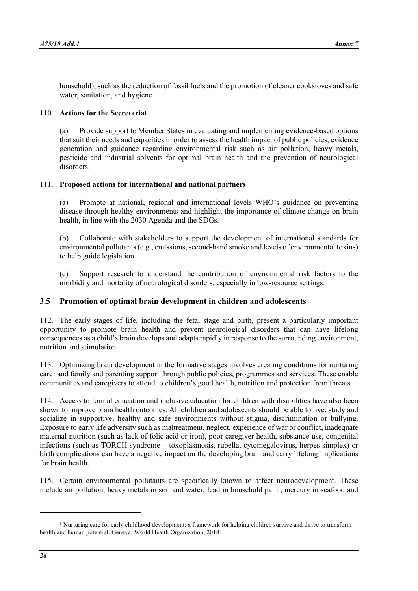household), such as the reduction of fossil fuels and the promotion of cleaner cookstoves and safe water, sanitation, and hygiene.

#### 110. **Actions for the Secretariat**

(a) Provide support to Member States in evaluating and implementing evidence-based options that suit their needs and capacities in order to assess the health impact of public policies, evidence generation and guidance regarding environmental risk such as air pollution, heavy metals, pesticide and industrial solvents for optimal brain health and the prevention of neurological disorders.

## 111. **Proposed actions for international and national partners**

(a) Promote at national, regional and international levels WHO's guidance on preventing disease through healthy environments and highlight the importance of climate change on brain health, in line with the 2030 Agenda and the SDGs.

(b) Collaborate with stakeholders to support the development of international standards for environmental pollutants (e.g., emissions, second-hand smoke and levels of environmental toxins) to help guide legislation.

(c) Support research to understand the contribution of environmental risk factors to the morbidity and mortality of neurological disorders, especially in low-resource settings.

## **3.5 Promotion of optimal brain development in children and adolescents**

112. The early stages of life, including the fetal stage and birth, present a particularly important opportunity to promote brain health and prevent neurological disorders that can have lifelong consequences as a child's brain develops and adapts rapidly in response to the surrounding environment, nutrition and stimulation.

113. Optimizing brain development in the formative stages involves creating conditions for nurturing  $care<sup>1</sup>$  and family and parenting support through public policies, programmes and services. These enable communities and caregivers to attend to children's good health, nutrition and protection from threats.

114. Access to formal education and inclusive education for children with disabilities have also been shown to improve brain health outcomes. All children and adolescents should be able to live, study and socialize in supportive, healthy and safe environments without stigma, discrimination or bullying. Exposure to early life adversity such as maltreatment, neglect, experience of war or conflict, inadequate maternal nutrition (such as lack of folic acid or iron), poor caregiver health, substance use, congenital infections (such as TORCH syndrome – toxoplasmosis, rubella, cytomegalovirus, herpes simplex) or birth complications can have a negative impact on the developing brain and carry lifelong implications for brain health.

115. Certain environmental pollutants are specifically known to affect neurodevelopment. These include air pollution, heavy metals in soil and water, lead in household paint, mercury in seafood and

<span id="page-27-0"></span><sup>&</sup>lt;sup>1</sup> Nurturing care for early childhood development: a framework for helping children survive and thrive to transform health and human potential. Geneva: World Health Organization; 2018.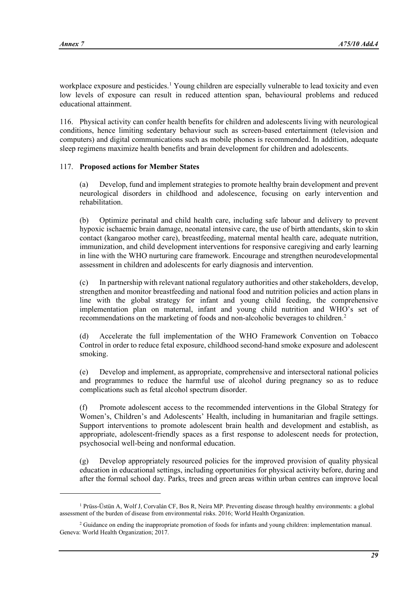workplace exposure and pesticides. [1](#page-28-0) Young children are especially vulnerable to lead toxicity and even low levels of exposure can result in reduced attention span, behavioural problems and reduced educational attainment.

116. Physical activity can confer health benefits for children and adolescents living with neurological conditions, hence limiting sedentary behaviour such as screen-based entertainment (television and computers) and digital communications such as mobile phones is recommended. In addition, adequate sleep regimens maximize health benefits and brain development for children and adolescents.

#### 117. **Proposed actions for Member States**

(a) Develop, fund and implement strategies to promote healthy brain development and prevent neurological disorders in childhood and adolescence, focusing on early intervention and rehabilitation.

(b) Optimize perinatal and child health care, including safe labour and delivery to prevent hypoxic ischaemic brain damage, neonatal intensive care, the use of birth attendants, skin to skin contact (kangaroo mother care), breastfeeding, maternal mental health care, adequate nutrition, immunization, and child development interventions for responsive caregiving and early learning in line with the WHO nurturing care framework. Encourage and strengthen neurodevelopmental assessment in children and adolescents for early diagnosis and intervention.

(c) In partnership with relevant national regulatory authorities and other stakeholders, develop, strengthen and monitor breastfeeding and national food and nutrition policies and action plans in line with the global strategy for infant and young child feeding, the comprehensive implementation plan on maternal, infant and young child nutrition and WHO's set of recommendations on the marketing of foods and non-alcoholic beverages to children.[2](#page-28-1)

(d) Accelerate the full implementation of the WHO Framework Convention on Tobacco Control in order to reduce fetal exposure, childhood second-hand smoke exposure and adolescent smoking.

(e) Develop and implement, as appropriate, comprehensive and intersectoral national policies and programmes to reduce the harmful use of alcohol during pregnancy so as to reduce complications such as fetal alcohol spectrum disorder.

(f) Promote adolescent access to the recommended interventions in the Global Strategy for Women's, Children's and Adolescents' Health, including in humanitarian and fragile settings. Support interventions to promote adolescent brain health and development and establish, as appropriate, adolescent-friendly spaces as a first response to adolescent needs for protection, psychosocial well-being and nonformal education.

(g) Develop appropriately resourced policies for the improved provision of quality physical education in educational settings, including opportunities for physical activity before, during and after the formal school day. Parks, trees and green areas within urban centres can improve local

<span id="page-28-0"></span><sup>1</sup> Prüss-Üstün A, Wolf J, Corvalán CF, Bos R, Neira MP. Preventing disease through healthy environments: a global assessment of the burden of disease from environmental risks. 2016; World Health Organization.

<span id="page-28-1"></span><sup>&</sup>lt;sup>2</sup> Guidance on ending the inappropriate promotion of foods for infants and young children: implementation manual. Geneva: World Health Organization; 2017.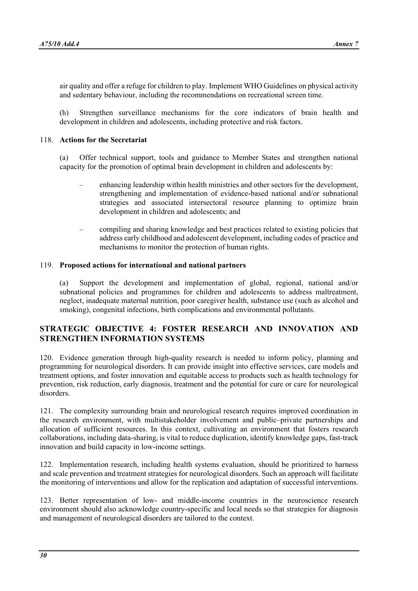air quality and offer a refuge for children to play. Implement WHO Guidelines on physical activity and sedentary behaviour, including the recommendations on recreational screen time.

(h) Strengthen surveillance mechanisms for the core indicators of brain health and development in children and adolescents, including protective and risk factors.

#### 118. **Actions for the Secretariat**

(a) Offer technical support, tools and guidance to Member States and strengthen national capacity for the promotion of optimal brain development in children and adolescents by:

- enhancing leadership within health ministries and other sectors for the development, strengthening and implementation of evidence-based national and/or subnational strategies and associated intersectoral resource planning to optimize brain development in children and adolescents; and
- compiling and sharing knowledge and best practices related to existing policies that address early childhood and adolescent development, including codes of practice and mechanisms to monitor the protection of human rights.

#### 119. **Proposed actions for international and national partners**

(a) Support the development and implementation of global, regional, national and/or subnational policies and programmes for children and adolescents to address maltreatment, neglect, inadequate maternal nutrition, poor caregiver health, substance use (such as alcohol and smoking), congenital infections, birth complications and environmental pollutants.

# **STRATEGIC OBJECTIVE 4: FOSTER RESEARCH AND INNOVATION AND STRENGTHEN INFORMATION SYSTEMS**

120. Evidence generation through high-quality research is needed to inform policy, planning and programming for neurological disorders. It can provide insight into effective services, care models and treatment options, and foster innovation and equitable access to products such as health technology for prevention, risk reduction, early diagnosis, treatment and the potential for cure or care for neurological disorders.

121. The complexity surrounding brain and neurological research requires improved coordination in the research environment, with multistakeholder involvement and public–private partnerships and allocation of sufficient resources. In this context, cultivating an environment that fosters research collaborations, including data-sharing, is vital to reduce duplication, identify knowledge gaps, fast-track innovation and build capacity in low-income settings.

122. Implementation research, including health systems evaluation, should be prioritized to harness and scale prevention and treatment strategies for neurological disorders. Such an approach will facilitate the monitoring of interventions and allow for the replication and adaptation of successful interventions.

123. Better representation of low- and middle-income countries in the neuroscience research environment should also acknowledge country-specific and local needs so that strategies for diagnosis and management of neurological disorders are tailored to the context.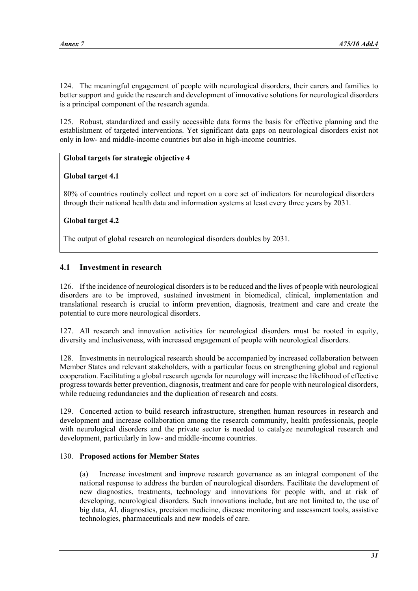124. The meaningful engagement of people with neurological disorders, their carers and families to better support and guide the research and development of innovative solutions for neurological disorders is a principal component of the research agenda.

125. Robust, standardized and easily accessible data forms the basis for effective planning and the establishment of targeted interventions. Yet significant data gaps on neurological disorders exist not only in low- and middle-income countries but also in high-income countries.

# **Global targets for strategic objective 4**

## **Global target 4.1**

80% of countries routinely collect and report on a core set of indicators for neurological disorders through their national health data and information systems at least every three years by 2031.

# **Global target 4.2**

The output of global research on neurological disorders doubles by 2031.

# **4.1 Investment in research**

126. If the incidence of neurological disorders is to be reduced and the lives of people with neurological disorders are to be improved, sustained investment in biomedical, clinical, implementation and translational research is crucial to inform prevention, diagnosis, treatment and care and create the potential to cure more neurological disorders.

127. All research and innovation activities for neurological disorders must be rooted in equity, diversity and inclusiveness, with increased engagement of people with neurological disorders.

128. Investments in neurological research should be accompanied by increased collaboration between Member States and relevant stakeholders, with a particular focus on strengthening global and regional cooperation. Facilitating a global research agenda for neurology will increase the likelihood of effective progress towards better prevention, diagnosis, treatment and care for people with neurological disorders, while reducing redundancies and the duplication of research and costs.

129. Concerted action to build research infrastructure, strengthen human resources in research and development and increase collaboration among the research community, health professionals, people with neurological disorders and the private sector is needed to catalyze neurological research and development, particularly in low- and middle-income countries.

## 130. **Proposed actions for Member States**

(a) Increase investment and improve research governance as an integral component of the national response to address the burden of neurological disorders. Facilitate the development of new diagnostics, treatments, technology and innovations for people with, and at risk of developing, neurological disorders. Such innovations include, but are not limited to, the use of big data, AI, diagnostics, precision medicine, disease monitoring and assessment tools, assistive technologies, pharmaceuticals and new models of care.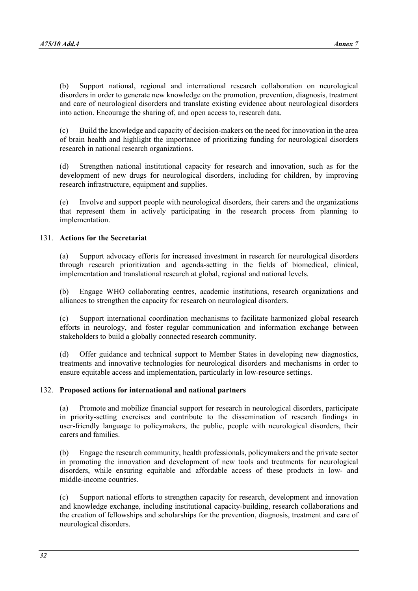(b) Support national, regional and international research collaboration on neurological disorders in order to generate new knowledge on the promotion, prevention, diagnosis, treatment and care of neurological disorders and translate existing evidence about neurological disorders into action. Encourage the sharing of, and open access to, research data.

(c) Build the knowledge and capacity of decision-makers on the need for innovation in the area of brain health and highlight the importance of prioritizing funding for neurological disorders research in national research organizations.

(d) Strengthen national institutional capacity for research and innovation, such as for the development of new drugs for neurological disorders, including for children, by improving research infrastructure, equipment and supplies.

(e) Involve and support people with neurological disorders, their carers and the organizations that represent them in actively participating in the research process from planning to implementation.

## 131. **Actions for the Secretariat**

(a) Support advocacy efforts for increased investment in research for neurological disorders through research prioritization and agenda-setting in the fields of biomedical, clinical, implementation and translational research at global, regional and national levels.

(b) Engage WHO collaborating centres, academic institutions, research organizations and alliances to strengthen the capacity for research on neurological disorders.

(c) Support international coordination mechanisms to facilitate harmonized global research efforts in neurology, and foster regular communication and information exchange between stakeholders to build a globally connected research community.

(d) Offer guidance and technical support to Member States in developing new diagnostics, treatments and innovative technologies for neurological disorders and mechanisms in order to ensure equitable access and implementation, particularly in low-resource settings.

#### 132. **Proposed actions for international and national partners**

(a) Promote and mobilize financial support for research in neurological disorders, participate in priority-setting exercises and contribute to the dissemination of research findings in user-friendly language to policymakers, the public, people with neurological disorders, their carers and families.

(b) Engage the research community, health professionals, policymakers and the private sector in promoting the innovation and development of new tools and treatments for neurological disorders, while ensuring equitable and affordable access of these products in low- and middle-income countries.

(c) Support national efforts to strengthen capacity for research, development and innovation and knowledge exchange, including institutional capacity-building, research collaborations and the creation of fellowships and scholarships for the prevention, diagnosis, treatment and care of neurological disorders.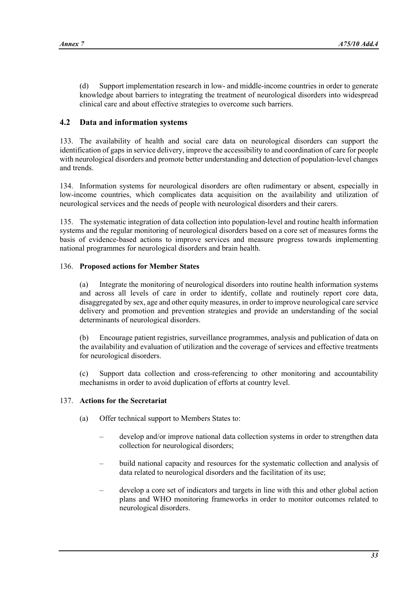(d) Support implementation research in low- and middle-income countries in order to generate knowledge about barriers to integrating the treatment of neurological disorders into widespread clinical care and about effective strategies to overcome such barriers.

# **4.2 Data and information systems**

133. The availability of health and social care data on neurological disorders can support the identification of gaps in service delivery, improve the accessibility to and coordination of care for people with neurological disorders and promote better understanding and detection of population-level changes and trends.

134. Information systems for neurological disorders are often rudimentary or absent, especially in low-income countries, which complicates data acquisition on the availability and utilization of neurological services and the needs of people with neurological disorders and their carers.

135. The systematic integration of data collection into population-level and routine health information systems and the regular monitoring of neurological disorders based on a core set of measures forms the basis of evidence-based actions to improve services and measure progress towards implementing national programmes for neurological disorders and brain health.

## 136. **Proposed actions for Member States**

(a) Integrate the monitoring of neurological disorders into routine health information systems and across all levels of care in order to identify, collate and routinely report core data, disaggregated by sex, age and other equity measures, in order to improve neurological care service delivery and promotion and prevention strategies and provide an understanding of the social determinants of neurological disorders.

(b) Encourage patient registries, surveillance programmes, analysis and publication of data on the availability and evaluation of utilization and the coverage of services and effective treatments for neurological disorders.

(c) Support data collection and cross-referencing to other monitoring and accountability mechanisms in order to avoid duplication of efforts at country level.

#### 137. **Actions for the Secretariat**

- (a) Offer technical support to Members States to:
	- develop and/or improve national data collection systems in order to strengthen data collection for neurological disorders;
	- build national capacity and resources for the systematic collection and analysis of data related to neurological disorders and the facilitation of its use;
	- develop a core set of indicators and targets in line with this and other global action plans and WHO monitoring frameworks in order to monitor outcomes related to neurological disorders.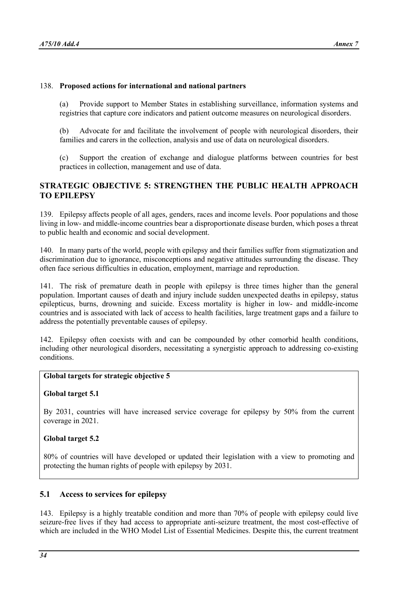#### 138. **Proposed actions for international and national partners**

(a) Provide support to Member States in establishing surveillance, information systems and registries that capture core indicators and patient outcome measures on neurological disorders.

(b) Advocate for and facilitate the involvement of people with neurological disorders, their families and carers in the collection, analysis and use of data on neurological disorders.

(c) Support the creation of exchange and dialogue platforms between countries for best practices in collection, management and use of data.

# **STRATEGIC OBJECTIVE 5: STRENGTHEN THE PUBLIC HEALTH APPROACH TO EPILEPSY**

139. Epilepsy affects people of all ages, genders, races and income levels. Poor populations and those living in low- and middle-income countries bear a disproportionate disease burden, which poses a threat to public health and economic and social development.

140. In many parts of the world, people with epilepsy and their families suffer from stigmatization and discrimination due to ignorance, misconceptions and negative attitudes surrounding the disease. They often face serious difficulties in education, employment, marriage and reproduction.

141. The risk of premature death in people with epilepsy is three times higher than the general population. Important causes of death and injury include sudden unexpected deaths in epilepsy, status epilepticus, burns, drowning and suicide. Excess mortality is higher in low- and middle-income countries and is associated with lack of access to health facilities, large treatment gaps and a failure to address the potentially preventable causes of epilepsy.

142. Epilepsy often coexists with and can be compounded by other comorbid health conditions, including other neurological disorders, necessitating a synergistic approach to addressing co-existing conditions.

#### **Global targets for strategic objective 5**

#### **Global target 5.1**

By 2031, countries will have increased service coverage for epilepsy by 50% from the current coverage in 2021.

#### **Global target 5.2**

80% of countries will have developed or updated their legislation with a view to promoting and protecting the human rights of people with epilepsy by 2031.

## **5.1 Access to services for epilepsy**

143. Epilepsy is a highly treatable condition and more than 70% of people with epilepsy could live seizure-free lives if they had access to appropriate anti-seizure treatment, the most cost-effective of which are included in the WHO Model List of Essential Medicines. Despite this, the current treatment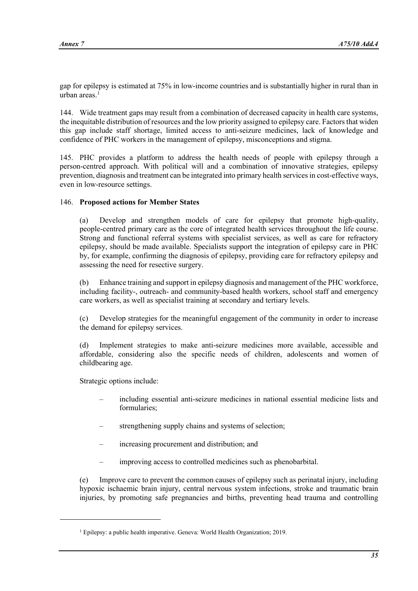gap for epilepsy is estimated at 75% in low-income countries and is substantially higher in rural than in urban areas. $<sup>1</sup>$  $<sup>1</sup>$  $<sup>1</sup>$ </sup>

144. Wide treatment gaps may result from a combination of decreased capacity in health care systems, the inequitable distribution of resources and the low priority assigned to epilepsy care. Factors that widen this gap include staff shortage, limited access to anti-seizure medicines, lack of knowledge and confidence of PHC workers in the management of epilepsy, misconceptions and stigma.

145. PHC provides a platform to address the health needs of people with epilepsy through a person-centred approach. With political will and a combination of innovative strategies, epilepsy prevention, diagnosis and treatment can be integrated into primary health services in cost-effective ways, even in low-resource settings.

## 146. **Proposed actions for Member States**

(a) Develop and strengthen models of care for epilepsy that promote high-quality, people-centred primary care as the core of integrated health services throughout the life course. Strong and functional referral systems with specialist services, as well as care for refractory epilepsy, should be made available. Specialists support the integration of epilepsy care in PHC by, for example, confirming the diagnosis of epilepsy, providing care for refractory epilepsy and assessing the need for resective surgery.

(b) Enhance training and support in epilepsy diagnosis and management of the PHC workforce, including facility-, outreach- and community-based health workers, school staff and emergency care workers, as well as specialist training at secondary and tertiary levels.

(c) Develop strategies for the meaningful engagement of the community in order to increase the demand for epilepsy services.

(d) Implement strategies to make anti-seizure medicines more available, accessible and affordable, considering also the specific needs of children, adolescents and women of childbearing age.

Strategic options include:

- including essential anti-seizure medicines in national essential medicine lists and formularies;
- strengthening supply chains and systems of selection;
- increasing procurement and distribution; and
- improving access to controlled medicines such as phenobarbital.

(e) Improve care to prevent the common causes of epilepsy such as perinatal injury, including hypoxic ischaemic brain injury, central nervous system infections, stroke and traumatic brain injuries, by promoting safe pregnancies and births, preventing head trauma and controlling

<span id="page-34-0"></span><sup>&</sup>lt;sup>1</sup> Epilepsy: a public health imperative. Geneva: World Health Organization; 2019.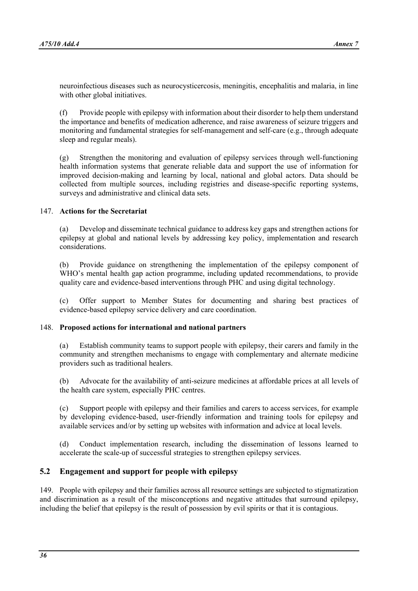neuroinfectious diseases such as neurocysticercosis, meningitis, encephalitis and malaria, in line with other global initiatives.

(f) Provide people with epilepsy with information about their disorder to help them understand the importance and benefits of medication adherence, and raise awareness of seizure triggers and monitoring and fundamental strategies for self-management and self-care (e.g., through adequate sleep and regular meals).

(g) Strengthen the monitoring and evaluation of epilepsy services through well-functioning health information systems that generate reliable data and support the use of information for improved decision-making and learning by local, national and global actors. Data should be collected from multiple sources, including registries and disease-specific reporting systems, surveys and administrative and clinical data sets.

## 147. **Actions for the Secretariat**

(a) Develop and disseminate technical guidance to address key gaps and strengthen actions for epilepsy at global and national levels by addressing key policy, implementation and research considerations.

(b) Provide guidance on strengthening the implementation of the epilepsy component of WHO's mental health gap action programme, including updated recommendations, to provide quality care and evidence-based interventions through PHC and using digital technology.

(c) Offer support to Member States for documenting and sharing best practices of evidence-based epilepsy service delivery and care coordination.

#### 148. **Proposed actions for international and national partners**

(a) Establish community teams to support people with epilepsy, their carers and family in the community and strengthen mechanisms to engage with complementary and alternate medicine providers such as traditional healers.

(b) Advocate for the availability of anti-seizure medicines at affordable prices at all levels of the health care system, especially PHC centres.

(c) Support people with epilepsy and their families and carers to access services, for example by developing evidence-based, user-friendly information and training tools for epilepsy and available services and/or by setting up websites with information and advice at local levels.

(d) Conduct implementation research, including the dissemination of lessons learned to accelerate the scale-up of successful strategies to strengthen epilepsy services.

## **5.2 Engagement and support for people with epilepsy**

149. People with epilepsy and their families across all resource settings are subjected to stigmatization and discrimination as a result of the misconceptions and negative attitudes that surround epilepsy, including the belief that epilepsy is the result of possession by evil spirits or that it is contagious.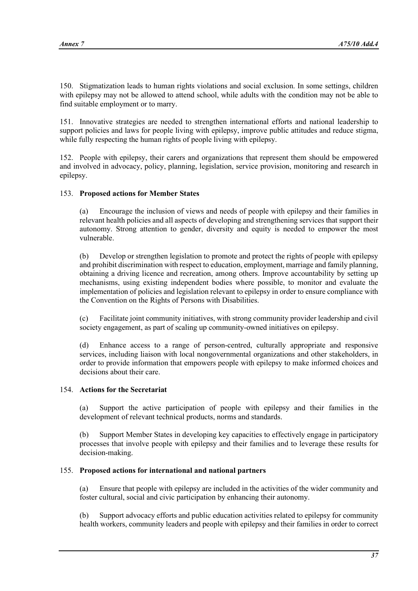150. Stigmatization leads to human rights violations and social exclusion. In some settings, children with epilepsy may not be allowed to attend school, while adults with the condition may not be able to find suitable employment or to marry.

151. Innovative strategies are needed to strengthen international efforts and national leadership to support policies and laws for people living with epilepsy, improve public attitudes and reduce stigma, while fully respecting the human rights of people living with epilepsy.

152. People with epilepsy, their carers and organizations that represent them should be empowered and involved in advocacy, policy, planning, legislation, service provision, monitoring and research in epilepsy.

## 153. **Proposed actions for Member States**

(a) Encourage the inclusion of views and needs of people with epilepsy and their families in relevant health policies and all aspects of developing and strengthening services that support their autonomy. Strong attention to gender, diversity and equity is needed to empower the most vulnerable.

(b) Develop or strengthen legislation to promote and protect the rights of people with epilepsy and prohibit discrimination with respect to education, employment, marriage and family planning, obtaining a driving licence and recreation, among others. Improve accountability by setting up mechanisms, using existing independent bodies where possible, to monitor and evaluate the implementation of policies and legislation relevant to epilepsy in order to ensure compliance with the Convention on the Rights of Persons with Disabilities.

(c) Facilitate joint community initiatives, with strong community provider leadership and civil society engagement, as part of scaling up community-owned initiatives on epilepsy.

(d) Enhance access to a range of person-centred, culturally appropriate and responsive services, including liaison with local nongovernmental organizations and other stakeholders, in order to provide information that empowers people with epilepsy to make informed choices and decisions about their care.

#### 154. **Actions for the Secretariat**

(a) Support the active participation of people with epilepsy and their families in the development of relevant technical products, norms and standards.

(b) Support Member States in developing key capacities to effectively engage in participatory processes that involve people with epilepsy and their families and to leverage these results for decision-making.

#### 155. **Proposed actions for international and national partners**

(a) Ensure that people with epilepsy are included in the activities of the wider community and foster cultural, social and civic participation by enhancing their autonomy.

(b) Support advocacy efforts and public education activities related to epilepsy for community health workers, community leaders and people with epilepsy and their families in order to correct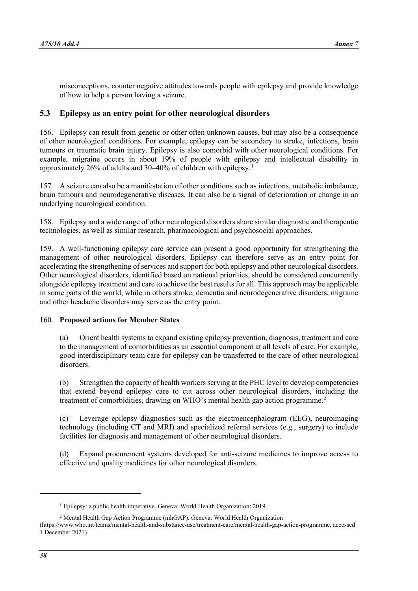misconceptions, counter negative attitudes towards people with epilepsy and provide knowledge of how to help a person having a seizure.

## **5.3 Epilepsy as an entry point for other neurological disorders**

156. Epilepsy can result from genetic or other often unknown causes, but may also be a consequence of other neurological conditions. For example, epilepsy can be secondary to stroke, infections, brain tumours or traumatic brain injury. Epilepsy is also comorbid with other neurological conditions. For example, migraine occurs in about 19% of people with epilepsy and intellectual disability in approximately 26% of adults and 30–40% of children with epilepsy.[1](#page-37-0)

157. A seizure can also be a manifestation of other conditions such as infections, metabolic imbalance, brain tumours and neurodegenerative diseases. It can also be a signal of deterioration or change in an underlying neurological condition.

158. Epilepsy and a wide range of other neurological disorders share similar diagnostic and therapeutic technologies, as well as similar research, pharmacological and psychosocial approaches.

159. A well-functioning epilepsy care service can present a good opportunity for strengthening the management of other neurological disorders. Epilepsy can therefore serve as an entry point for accelerating the strengthening of services and support for both epilepsy and other neurological disorders. Other neurological disorders, identified based on national priorities, should be considered concurrently alongside epilepsy treatment and care to achieve the best results for all. This approach may be applicable in some parts of the world, while in others stroke, dementia and neurodegenerative disorders, migraine and other headache disorders may serve as the entry point.

#### 160. **Proposed actions for Member States**

(a) Orient health systems to expand existing epilepsy prevention, diagnosis, treatment and care to the management of comorbidities as an essential component at all levels of care. For example, good interdisciplinary team care for epilepsy can be transferred to the care of other neurological disorders.

(b) Strengthen the capacity of health workers serving at the PHC level to develop competencies that extend beyond epilepsy care to cut across other neurological disorders, including the treatment of comorbidities, drawing on WHO's mental health gap action programme.<sup>[2](#page-37-1)</sup>

(c) Leverage epilepsy diagnostics such as the electroencephalogram (EEG), neuroimaging technology (including CT and MRI) and specialized referral services (e.g., surgery) to include facilities for diagnosis and management of other neurological disorders.

(d) Expand procurement systems developed for anti-seizure medicines to improve access to effective and quality medicines for other neurological disorders.

 $<sup>1</sup>$  Epilepsy: a public health imperative. Geneva: World Health Organization; 2019.</sup>

<sup>2</sup> Mental Health Gap Action Programme (mhGAP). Geneva: World Health Organization

<span id="page-37-1"></span><span id="page-37-0"></span>[<sup>\(</sup>https://www.who.int/teams/mental-health-and-substance-use/treatment-care/mental-health-gap-action-programme,](https://www.who.int/teams/mental-health-and-substance-use/treatment-care/mental-health-gap-action-programme) accessed 1 December 2021).